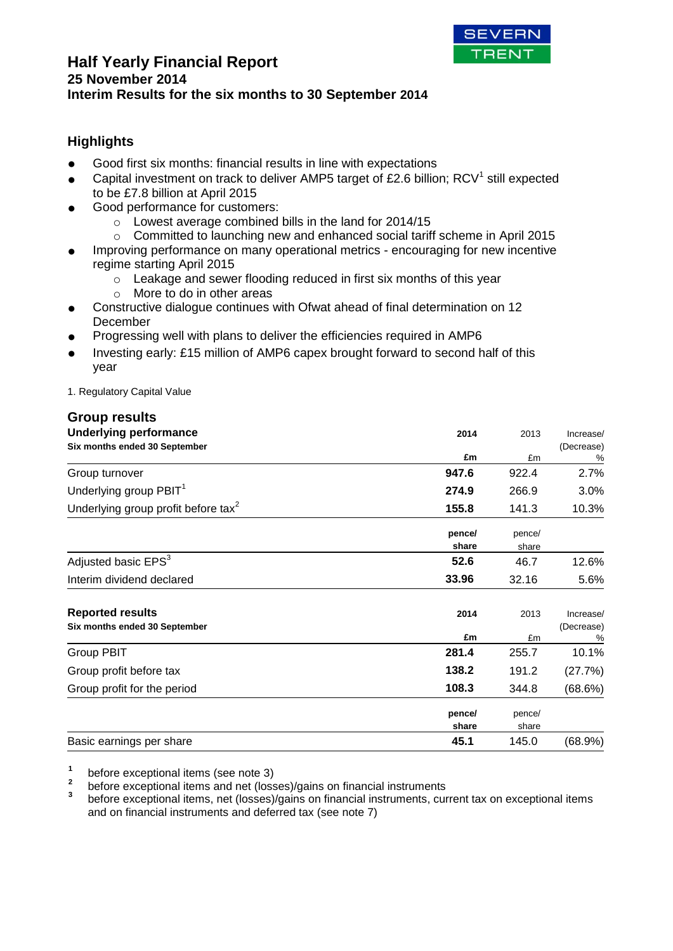

## **Half Yearly Financial Report 25 November 2014 Interim Results for the six months to 30 September 2014**

# **Highlights**

- Good first six months: financial results in line with expectations
- Capital investment on track to deliver AMP5 target of £2.6 billion; RCV<sup>1</sup> still expected to be £7.8 billion at April 2015
- Good performance for customers:
	- o Lowest average combined bills in the land for 2014/15
	- o Committed to launching new and enhanced social tariff scheme in April 2015
- **●** Improving performance on many operational metrics encouraging for new incentive regime starting April 2015
	- o Leakage and sewer flooding reduced in first six months of this year
	- o More to do in other areas
- **●** Constructive dialogue continues with Ofwat ahead of final determination on 12 December
- **●** Progressing well with plans to deliver the efficiencies required in AMP6
- Investing early: £15 million of AMP6 capex brought forward to second half of this year

1. Regulatory Capital Value

### **Group results**

| <b>Underlying performance</b>                            | 2014            | 2013            | Increase/               |
|----------------------------------------------------------|-----------------|-----------------|-------------------------|
| Six months ended 30 September                            | £m              | £m              | (Decrease)<br>%         |
| Group turnover                                           | 947.6           | 922.4           | 2.7%                    |
| Underlying group PBIT <sup>1</sup>                       | 274.9           | 266.9           | $3.0\%$                 |
| Underlying group profit before tax <sup>2</sup>          | 155.8           | 141.3           | 10.3%                   |
|                                                          | pence/<br>share | pence/<br>share |                         |
| Adjusted basic EPS <sup>3</sup>                          | 52.6            | 46.7            | 12.6%                   |
| Interim dividend declared                                | 33.96           | 32.16           | 5.6%                    |
| <b>Reported results</b><br>Six months ended 30 September | 2014            | 2013            | Increase/<br>(Decrease) |
|                                                          | £m              | £m              | %                       |
| Group PBIT                                               | 281.4           | 255.7           | 10.1%                   |
| Group profit before tax                                  | 138.2           | 191.2           | (27.7%)                 |
| Group profit for the period                              | 108.3           | 344.8           | (68.6%)                 |
|                                                          | pence/<br>share | pence/<br>share |                         |
| Basic earnings per share                                 | 45.1            | 145.0           | (68.9%)                 |

**1** before exceptional items (see note 3)

**2** before exceptional items and net (losses)/gains on financial instruments

**3** before exceptional items, net (losses)/gains on financial instruments, current tax on exceptional items and on financial instruments and deferred tax (see note 7)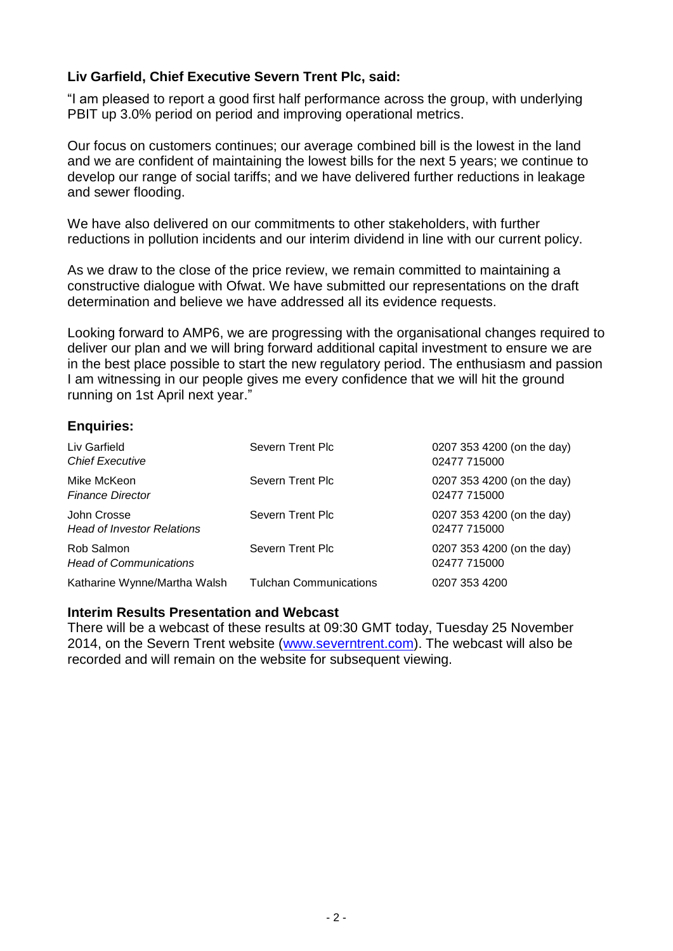# **Liv Garfield, Chief Executive Severn Trent Plc, said:**

"I am pleased to report a good first half performance across the group, with underlying PBIT up 3.0% period on period and improving operational metrics.

Our focus on customers continues; our average combined bill is the lowest in the land and we are confident of maintaining the lowest bills for the next 5 years; we continue to develop our range of social tariffs; and we have delivered further reductions in leakage and sewer flooding.

We have also delivered on our commitments to other stakeholders, with further reductions in pollution incidents and our interim dividend in line with our current policy.

As we draw to the close of the price review, we remain committed to maintaining a constructive dialogue with Ofwat. We have submitted our representations on the draft determination and believe we have addressed all its evidence requests.

Looking forward to AMP6, we are progressing with the organisational changes required to deliver our plan and we will bring forward additional capital investment to ensure we are in the best place possible to start the new regulatory period. The enthusiasm and passion I am witnessing in our people gives me every confidence that we will hit the ground running on 1st April next year."

## **Enquiries:**

| Liv Garfield<br><b>Chief Executive</b>           | Severn Trent Plc              | 0207 353 4200 (on the day)<br>02477 715000 |
|--------------------------------------------------|-------------------------------|--------------------------------------------|
| Mike McKeon<br><b>Finance Director</b>           | Severn Trent Plc              | 0207 353 4200 (on the day)<br>02477 715000 |
| John Crosse<br><b>Head of Investor Relations</b> | Severn Trent Plc              | 0207 353 4200 (on the day)<br>02477 715000 |
| Rob Salmon<br><b>Head of Communications</b>      | Severn Trent Plc              | 0207 353 4200 (on the day)<br>02477 715000 |
| Katharine Wynne/Martha Walsh                     | <b>Tulchan Communications</b> | 0207 353 4200                              |

### **Interim Results Presentation and Webcast**

There will be a webcast of these results at 09:30 GMT today, Tuesday 25 November 2014, on the Severn Trent website [\(www.severntrent.com\)](http://www.severntrent.com/). The webcast will also be recorded and will remain on the website for subsequent viewing.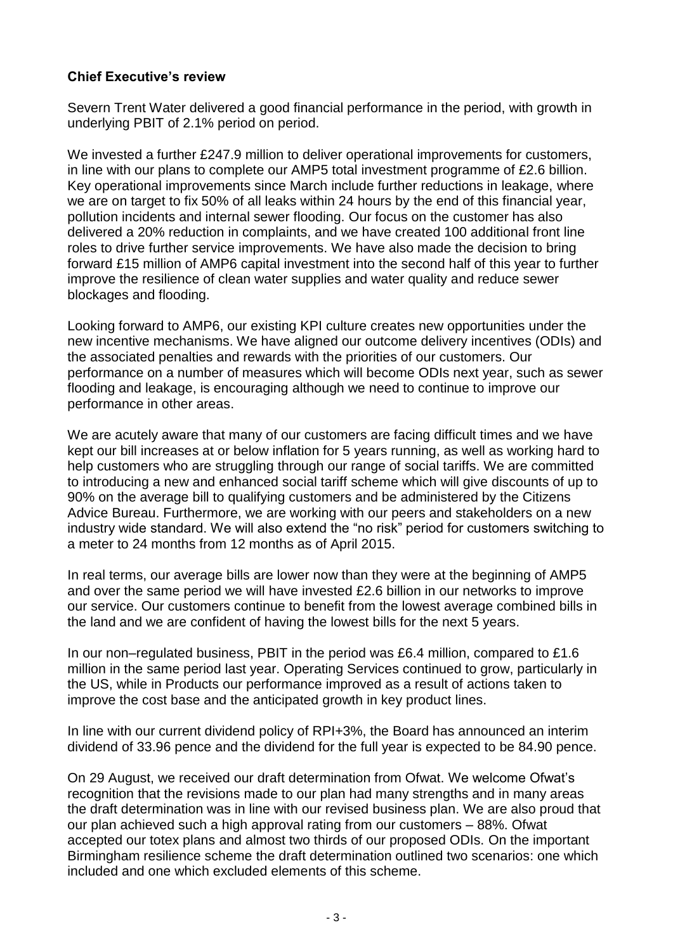# **Chief Executive's review**

Severn Trent Water delivered a good financial performance in the period, with growth in underlying PBIT of 2.1% period on period.

We invested a further £247.9 million to deliver operational improvements for customers, in line with our plans to complete our AMP5 total investment programme of £2.6 billion. Key operational improvements since March include further reductions in leakage, where we are on target to fix 50% of all leaks within 24 hours by the end of this financial year, pollution incidents and internal sewer flooding. Our focus on the customer has also delivered a 20% reduction in complaints, and we have created 100 additional front line roles to drive further service improvements. We have also made the decision to bring forward £15 million of AMP6 capital investment into the second half of this year to further improve the resilience of clean water supplies and water quality and reduce sewer blockages and flooding.

Looking forward to AMP6, our existing KPI culture creates new opportunities under the new incentive mechanisms. We have aligned our outcome delivery incentives (ODIs) and the associated penalties and rewards with the priorities of our customers. Our performance on a number of measures which will become ODIs next year, such as sewer flooding and leakage, is encouraging although we need to continue to improve our performance in other areas.

We are acutely aware that many of our customers are facing difficult times and we have kept our bill increases at or below inflation for 5 years running, as well as working hard to help customers who are struggling through our range of social tariffs. We are committed to introducing a new and enhanced social tariff scheme which will give discounts of up to 90% on the average bill to qualifying customers and be administered by the Citizens Advice Bureau. Furthermore, we are working with our peers and stakeholders on a new industry wide standard. We will also extend the "no risk" period for customers switching to a meter to 24 months from 12 months as of April 2015.

In real terms, our average bills are lower now than they were at the beginning of AMP5 and over the same period we will have invested £2.6 billion in our networks to improve our service. Our customers continue to benefit from the lowest average combined bills in the land and we are confident of having the lowest bills for the next 5 years.

In our non–regulated business, PBIT in the period was £6.4 million, compared to £1.6 million in the same period last year. Operating Services continued to grow, particularly in the US, while in Products our performance improved as a result of actions taken to improve the cost base and the anticipated growth in key product lines.

In line with our current dividend policy of RPI+3%, the Board has announced an interim dividend of 33.96 pence and the dividend for the full year is expected to be 84.90 pence.

On 29 August, we received our draft determination from Ofwat. We welcome Ofwat's recognition that the revisions made to our plan had many strengths and in many areas the draft determination was in line with our revised business plan. We are also proud that our plan achieved such a high approval rating from our customers – 88%. Ofwat accepted our totex plans and almost two thirds of our proposed ODIs. On the important Birmingham resilience scheme the draft determination outlined two scenarios: one which included and one which excluded elements of this scheme.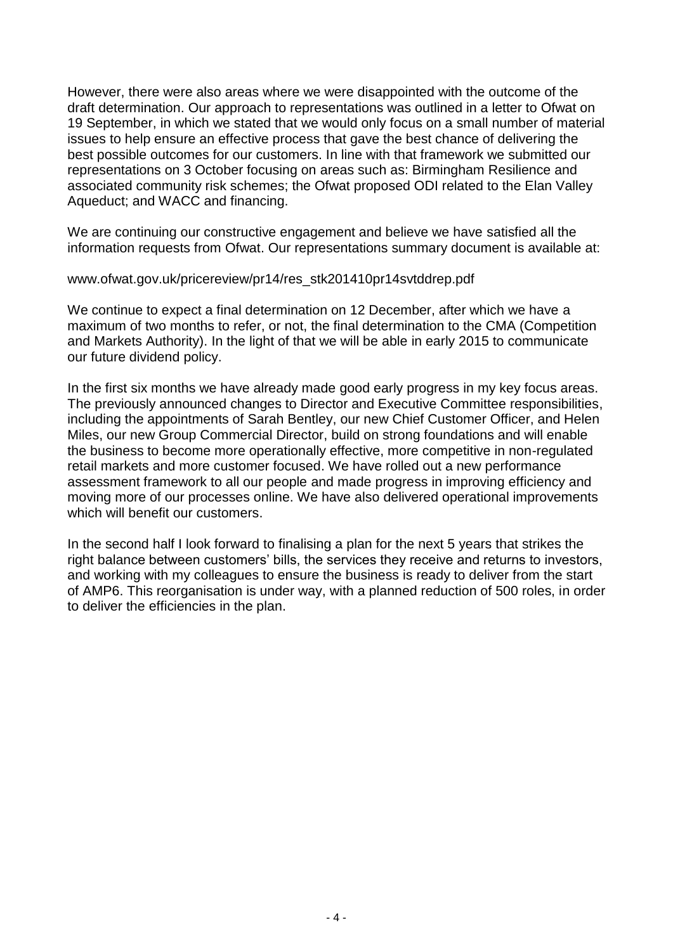However, there were also areas where we were disappointed with the outcome of the draft determination. Our approach to representations was outlined in a letter to Ofwat on 19 September, in which we stated that we would only focus on a small number of material issues to help ensure an effective process that gave the best chance of delivering the best possible outcomes for our customers. In line with that framework we submitted our representations on 3 October focusing on areas such as: Birmingham Resilience and associated community risk schemes; the Ofwat proposed ODI related to the Elan Valley Aqueduct; and WACC and financing.

We are continuing our constructive engagement and believe we have satisfied all the information requests from Ofwat. Our representations summary document is available at:

www.ofwat.gov.uk/pricereview/pr14/res\_stk201410pr14svtddrep.pdf

We continue to expect a final determination on 12 December, after which we have a maximum of two months to refer, or not, the final determination to the CMA (Competition and Markets Authority). In the light of that we will be able in early 2015 to communicate our future dividend policy.

In the first six months we have already made good early progress in my key focus areas. The previously announced changes to Director and Executive Committee responsibilities, including the appointments of Sarah Bentley, our new Chief Customer Officer, and Helen Miles, our new Group Commercial Director, build on strong foundations and will enable the business to become more operationally effective, more competitive in non-regulated retail markets and more customer focused. We have rolled out a new performance assessment framework to all our people and made progress in improving efficiency and moving more of our processes online. We have also delivered operational improvements which will benefit our customers.

In the second half I look forward to finalising a plan for the next 5 years that strikes the right balance between customers' bills, the services they receive and returns to investors, and working with my colleagues to ensure the business is ready to deliver from the start of AMP6. This reorganisation is under way, with a planned reduction of 500 roles, in order to deliver the efficiencies in the plan.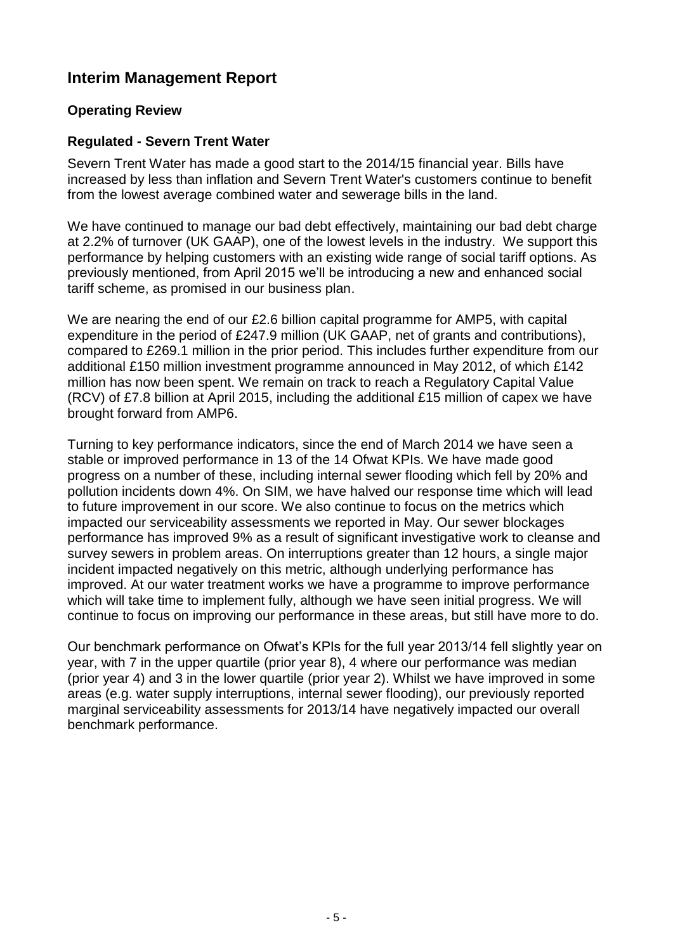# **Interim Management Report**

# **Operating Review**

# **Regulated - Severn Trent Water**

Severn Trent Water has made a good start to the 2014/15 financial year. Bills have increased by less than inflation and Severn Trent Water's customers continue to benefit from the lowest average combined water and sewerage bills in the land.

We have continued to manage our bad debt effectively, maintaining our bad debt charge at 2.2% of turnover (UK GAAP), one of the lowest levels in the industry. We support this performance by helping customers with an existing wide range of social tariff options. As previously mentioned, from April 2015 we'll be introducing a new and enhanced social tariff scheme, as promised in our business plan.

We are nearing the end of our £2.6 billion capital programme for AMP5, with capital expenditure in the period of £247.9 million (UK GAAP, net of grants and contributions), compared to £269.1 million in the prior period. This includes further expenditure from our additional £150 million investment programme announced in May 2012, of which £142 million has now been spent. We remain on track to reach a Regulatory Capital Value (RCV) of £7.8 billion at April 2015, including the additional £15 million of capex we have brought forward from AMP6.

Turning to key performance indicators, since the end of March 2014 we have seen a stable or improved performance in 13 of the 14 Ofwat KPIs. We have made good progress on a number of these, including internal sewer flooding which fell by 20% and pollution incidents down 4%. On SIM, we have halved our response time which will lead to future improvement in our score. We also continue to focus on the metrics which impacted our serviceability assessments we reported in May. Our sewer blockages performance has improved 9% as a result of significant investigative work to cleanse and survey sewers in problem areas. On interruptions greater than 12 hours, a single major incident impacted negatively on this metric, although underlying performance has improved. At our water treatment works we have a programme to improve performance which will take time to implement fully, although we have seen initial progress. We will continue to focus on improving our performance in these areas, but still have more to do.

Our benchmark performance on Ofwat's KPIs for the full year 2013/14 fell slightly year on year, with 7 in the upper quartile (prior year 8), 4 where our performance was median (prior year 4) and 3 in the lower quartile (prior year 2). Whilst we have improved in some areas (e.g. water supply interruptions, internal sewer flooding), our previously reported marginal serviceability assessments for 2013/14 have negatively impacted our overall benchmark performance.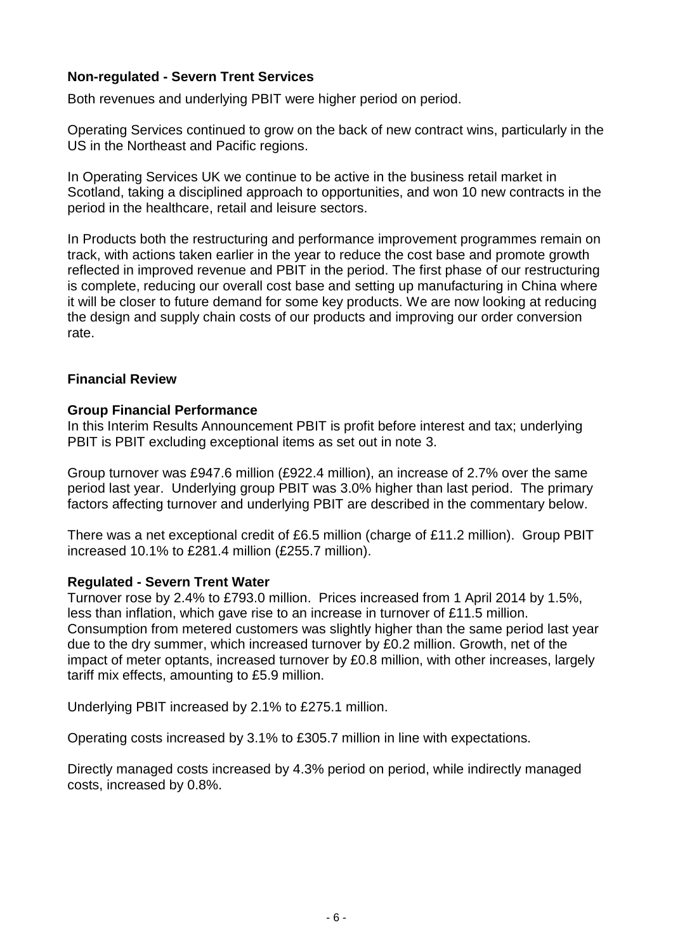# **Non-regulated - Severn Trent Services**

Both revenues and underlying PBIT were higher period on period.

Operating Services continued to grow on the back of new contract wins, particularly in the US in the Northeast and Pacific regions.

In Operating Services UK we continue to be active in the business retail market in Scotland, taking a disciplined approach to opportunities, and won 10 new contracts in the period in the healthcare, retail and leisure sectors.

In Products both the restructuring and performance improvement programmes remain on track, with actions taken earlier in the year to reduce the cost base and promote growth reflected in improved revenue and PBIT in the period. The first phase of our restructuring is complete, reducing our overall cost base and setting up manufacturing in China where it will be closer to future demand for some key products. We are now looking at reducing the design and supply chain costs of our products and improving our order conversion rate.

## **Financial Review**

### **Group Financial Performance**

In this Interim Results Announcement PBIT is profit before interest and tax; underlying PBIT is PBIT excluding exceptional items as set out in note 3.

Group turnover was £947.6 million (£922.4 million), an increase of 2.7% over the same period last year. Underlying group PBIT was 3.0% higher than last period. The primary factors affecting turnover and underlying PBIT are described in the commentary below.

There was a net exceptional credit of £6.5 million (charge of £11.2 million). Group PBIT increased 10.1% to £281.4 million (£255.7 million).

### **Regulated - Severn Trent Water**

Turnover rose by 2.4% to £793.0 million. Prices increased from 1 April 2014 by 1.5%, less than inflation, which gave rise to an increase in turnover of £11.5 million. Consumption from metered customers was slightly higher than the same period last year due to the dry summer, which increased turnover by £0.2 million. Growth, net of the impact of meter optants, increased turnover by £0.8 million, with other increases, largely tariff mix effects, amounting to £5.9 million.

Underlying PBIT increased by 2.1% to £275.1 million.

Operating costs increased by 3.1% to £305.7 million in line with expectations.

Directly managed costs increased by 4.3% period on period, while indirectly managed costs, increased by 0.8%.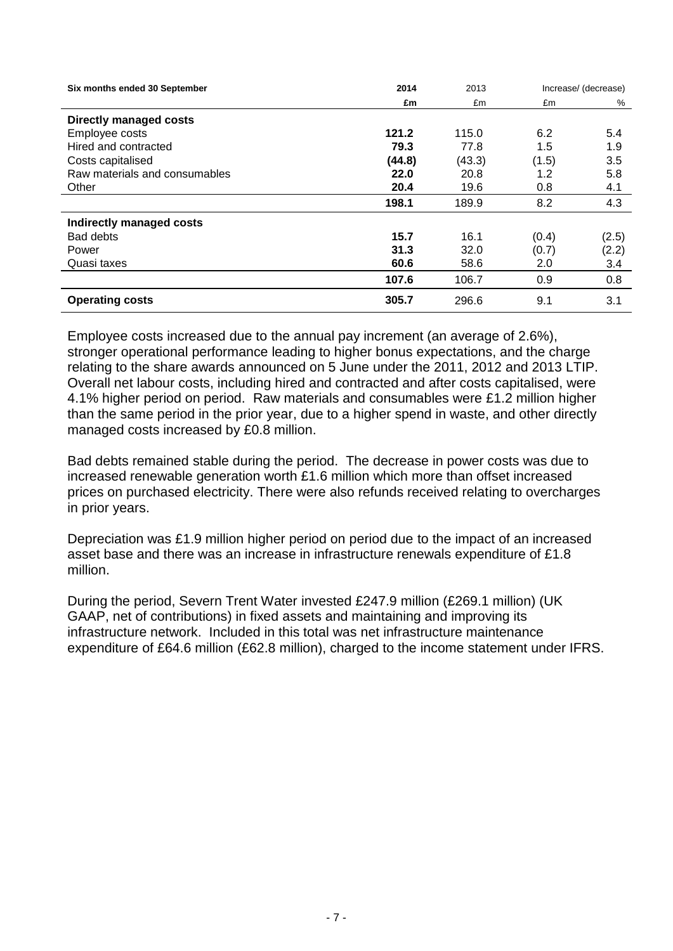| Six months ended 30 September | 2014   | 2013   | Increase/ (decrease) |       |
|-------------------------------|--------|--------|----------------------|-------|
|                               | £m     | £m     | £m                   | %     |
| <b>Directly managed costs</b> |        |        |                      |       |
| Employee costs                | 121.2  | 115.0  | 6.2                  | 5.4   |
| Hired and contracted          | 79.3   | 77.8   | 1.5                  | 1.9   |
| Costs capitalised             | (44.8) | (43.3) | (1.5)                | 3.5   |
| Raw materials and consumables | 22.0   | 20.8   | 1.2                  | 5.8   |
| Other                         | 20.4   | 19.6   | 0.8                  | 4.1   |
|                               | 198.1  | 189.9  | 8.2                  | 4.3   |
| Indirectly managed costs      |        |        |                      |       |
| <b>Bad debts</b>              | 15.7   | 16.1   | (0.4)                | (2.5) |
| Power                         | 31.3   | 32.0   | (0.7)                | (2.2) |
| Quasi taxes                   | 60.6   | 58.6   | 2.0                  | 3.4   |
|                               | 107.6  | 106.7  | 0.9                  | 0.8   |
| <b>Operating costs</b>        | 305.7  | 296.6  | 9.1                  | 3.1   |

Employee costs increased due to the annual pay increment (an average of 2.6%), stronger operational performance leading to higher bonus expectations, and the charge relating to the share awards announced on 5 June under the 2011, 2012 and 2013 LTIP. Overall net labour costs, including hired and contracted and after costs capitalised, were 4.1% higher period on period. Raw materials and consumables were £1.2 million higher than the same period in the prior year, due to a higher spend in waste, and other directly managed costs increased by £0.8 million.

Bad debts remained stable during the period. The decrease in power costs was due to increased renewable generation worth £1.6 million which more than offset increased prices on purchased electricity. There were also refunds received relating to overcharges in prior years.

Depreciation was £1.9 million higher period on period due to the impact of an increased asset base and there was an increase in infrastructure renewals expenditure of £1.8 million.

During the period, Severn Trent Water invested £247.9 million (£269.1 million) (UK GAAP, net of contributions) in fixed assets and maintaining and improving its infrastructure network. Included in this total was net infrastructure maintenance expenditure of £64.6 million (£62.8 million), charged to the income statement under IFRS.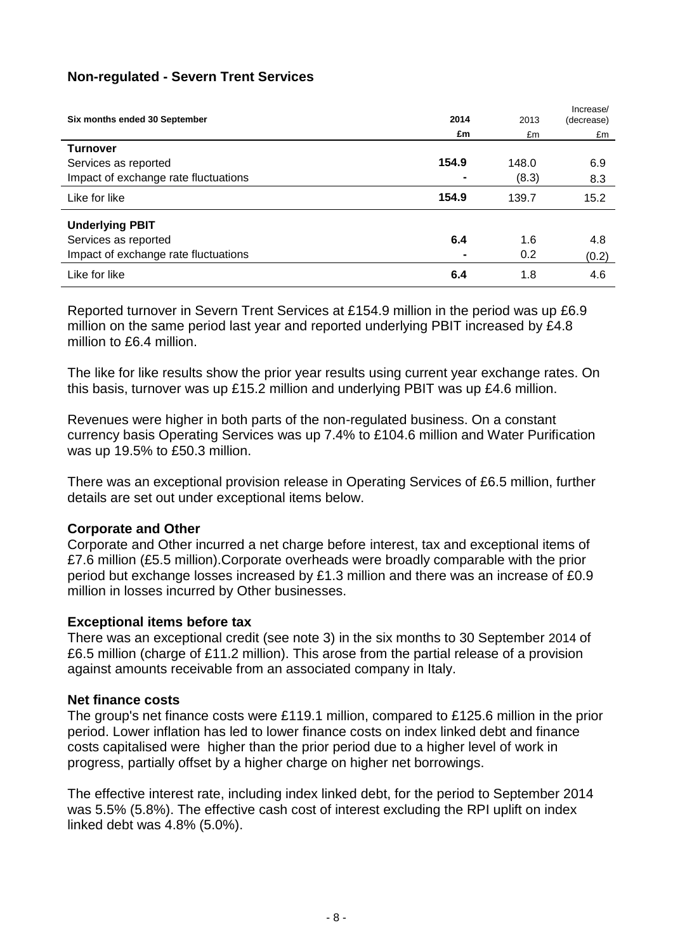# **Non-regulated - Severn Trent Services**

| Six months ended 30 September        | 2014           | 2013  | Increase/<br>(decrease) |
|--------------------------------------|----------------|-------|-------------------------|
|                                      | £m             | £m    | £m                      |
| <b>Turnover</b>                      |                |       |                         |
| Services as reported                 | 154.9          | 148.0 | 6.9                     |
| Impact of exchange rate fluctuations | $\blacksquare$ | (8.3) | 8.3                     |
| Like for like                        | 154.9          | 139.7 | 15.2                    |
| <b>Underlying PBIT</b>               |                |       |                         |
| Services as reported                 | 6.4            | 1.6   | 4.8                     |
| Impact of exchange rate fluctuations |                | 0.2   | (0.2)                   |
| Like for like                        | 6.4            | 1.8   | 4.6                     |

Reported turnover in Severn Trent Services at £154.9 million in the period was up £6.9 million on the same period last year and reported underlying PBIT increased by £4.8 million to £6.4 million.

The like for like results show the prior year results using current year exchange rates. On this basis, turnover was up £15.2 million and underlying PBIT was up £4.6 million.

Revenues were higher in both parts of the non-regulated business. On a constant currency basis Operating Services was up 7.4% to £104.6 million and Water Purification was up 19.5% to £50.3 million.

There was an exceptional provision release in Operating Services of £6.5 million, further details are set out under exceptional items below.

## **Corporate and Other**

Corporate and Other incurred a net charge before interest, tax and exceptional items of £7.6 million (£5.5 million).Corporate overheads were broadly comparable with the prior period but exchange losses increased by £1.3 million and there was an increase of £0.9 million in losses incurred by Other businesses.

## **Exceptional items before tax**

There was an exceptional credit (see note 3) in the six months to 30 September 2014 of £6.5 million (charge of £11.2 million). This arose from the partial release of a provision against amounts receivable from an associated company in Italy.

### **Net finance costs**

The group's net finance costs were £119.1 million, compared to £125.6 million in the prior period. Lower inflation has led to lower finance costs on index linked debt and finance costs capitalised were higher than the prior period due to a higher level of work in progress, partially offset by a higher charge on higher net borrowings.

The effective interest rate, including index linked debt, for the period to September 2014 was 5.5% (5.8%). The effective cash cost of interest excluding the RPI uplift on index linked debt was 4.8% (5.0%).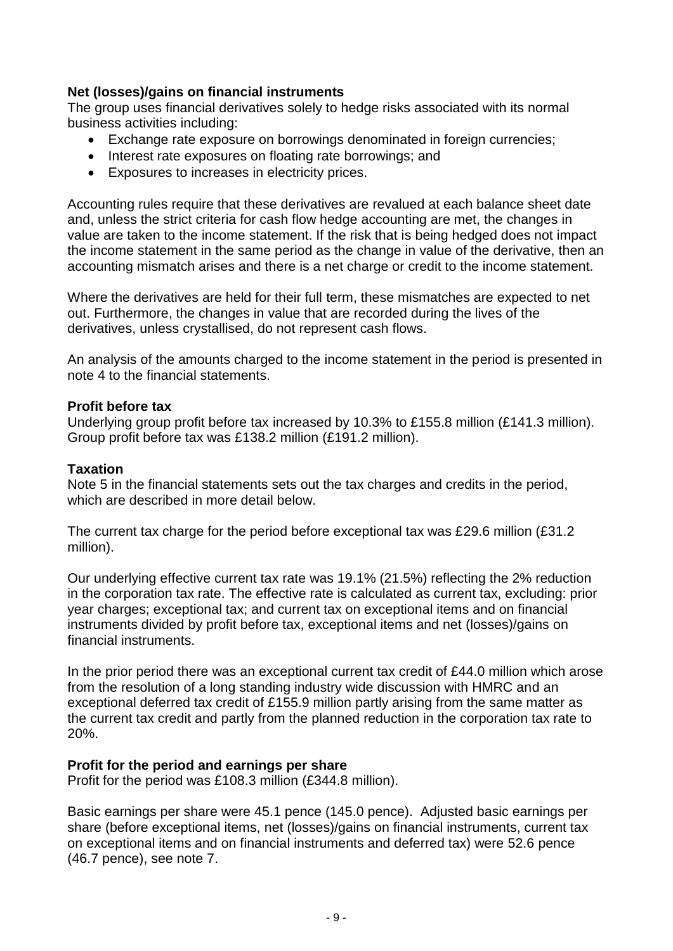# **Net (losses)/gains on financial instruments**

The group uses financial derivatives solely to hedge risks associated with its normal business activities including:

- Exchange rate exposure on borrowings denominated in foreign currencies;
- Interest rate exposures on floating rate borrowings; and
- Exposures to increases in electricity prices.

Accounting rules require that these derivatives are revalued at each balance sheet date and, unless the strict criteria for cash flow hedge accounting are met, the changes in value are taken to the income statement. If the risk that is being hedged does not impact the income statement in the same period as the change in value of the derivative, then an accounting mismatch arises and there is a net charge or credit to the income statement.

Where the derivatives are held for their full term, these mismatches are expected to net out. Furthermore, the changes in value that are recorded during the lives of the derivatives, unless crystallised, do not represent cash flows.

An analysis of the amounts charged to the income statement in the period is presented in note 4 to the financial statements.

## **Profit before tax**

Underlying group profit before tax increased by 10.3% to £155.8 million (£141.3 million). Group profit before tax was £138.2 million (£191.2 million).

## **Taxation**

Note 5 in the financial statements sets out the tax charges and credits in the period, which are described in more detail below.

The current tax charge for the period before exceptional tax was £29.6 million (£31.2) million).

Our underlying effective current tax rate was 19.1% (21.5%) reflecting the 2% reduction in the corporation tax rate. The effective rate is calculated as current tax, excluding: prior year charges; exceptional tax; and current tax on exceptional items and on financial instruments divided by profit before tax, exceptional items and net (losses)/gains on financial instruments.

In the prior period there was an exceptional current tax credit of £44.0 million which arose from the resolution of a long standing industry wide discussion with HMRC and an exceptional deferred tax credit of £155.9 million partly arising from the same matter as the current tax credit and partly from the planned reduction in the corporation tax rate to 20%.

## **Profit for the period and earnings per share**

Profit for the period was £108.3 million (£344.8 million).

Basic earnings per share were 45.1 pence (145.0 pence). Adjusted basic earnings per share (before exceptional items, net (losses)/gains on financial instruments, current tax on exceptional items and on financial instruments and deferred tax) were 52.6 pence (46.7 pence), see note 7.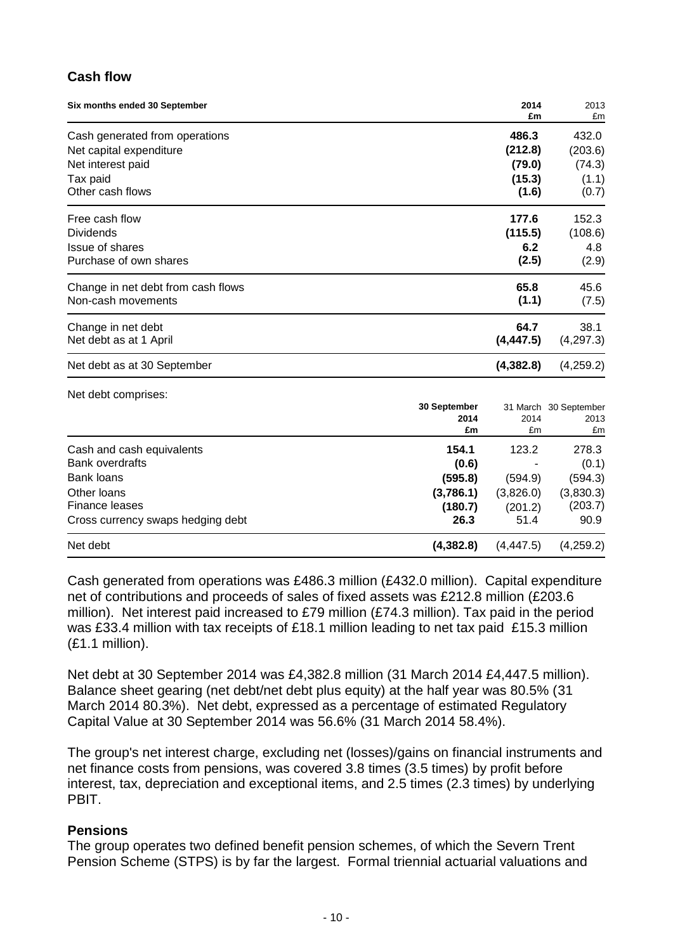# **Cash flow**

Net debt comprises:

| Six months ended 30 September      | 2014<br>£m | 2013<br>£m |
|------------------------------------|------------|------------|
| Cash generated from operations     | 486.3      | 432.0      |
| Net capital expenditure            | (212.8)    | (203.6)    |
| Net interest paid                  | (79.0)     | (74.3)     |
| Tax paid                           | (15.3)     | (1.1)      |
| Other cash flows                   | (1.6)      | (0.7)      |
| Free cash flow                     | 177.6      | 152.3      |
| <b>Dividends</b>                   | (115.5)    | (108.6)    |
| Issue of shares                    | 6.2        | 4.8        |
| Purchase of own shares             | (2.5)      | (2.9)      |
| Change in net debt from cash flows | 65.8       | 45.6       |
| Non-cash movements                 | (1.1)      | (7.5)      |
| Change in net debt                 | 64.7       | 38.1       |
| Net debt as at 1 April             | (4, 447.5) | (4,297.3)  |
| Net debt as at 30 September        | (4, 382.8) | (4,259.2)  |

|                                   | 30 September<br>2014<br>£m | 2014<br>£m | 31 March 30 September<br>2013<br>£m |
|-----------------------------------|----------------------------|------------|-------------------------------------|
| Cash and cash equivalents         | 154.1                      | 123.2      | 278.3                               |
| <b>Bank overdrafts</b>            | (0.6)                      |            | (0.1)                               |
| Bank loans                        | (595.8)                    | (594.9)    | (594.3)                             |
| Other Ioans                       | (3,786.1)                  | (3,826.0)  | (3,830.3)                           |
| <b>Finance leases</b>             | (180.7)                    | (201.2)    | (203.7)                             |
| Cross currency swaps hedging debt | 26.3                       | 51.4       | 90.9                                |
| Net debt                          | (4,382.8)                  | (4, 447.5) | (4,259.2)                           |

Cash generated from operations was £486.3 million (£432.0 million). Capital expenditure net of contributions and proceeds of sales of fixed assets was £212.8 million (£203.6 million). Net interest paid increased to £79 million (£74.3 million). Tax paid in the period was £33.4 million with tax receipts of £18.1 million leading to net tax paid £15.3 million (£1.1 million).

Net debt at 30 September 2014 was £4,382.8 million (31 March 2014 £4,447.5 million). Balance sheet gearing (net debt/net debt plus equity) at the half year was 80.5% (31 March 2014 80.3%). Net debt, expressed as a percentage of estimated Regulatory Capital Value at 30 September 2014 was 56.6% (31 March 2014 58.4%).

The group's net interest charge, excluding net (losses)/gains on financial instruments and net finance costs from pensions, was covered 3.8 times (3.5 times) by profit before interest, tax, depreciation and exceptional items, and 2.5 times (2.3 times) by underlying **PRIT.** 

## **Pensions**

The group operates two defined benefit pension schemes, of which the Severn Trent Pension Scheme (STPS) is by far the largest. Formal triennial actuarial valuations and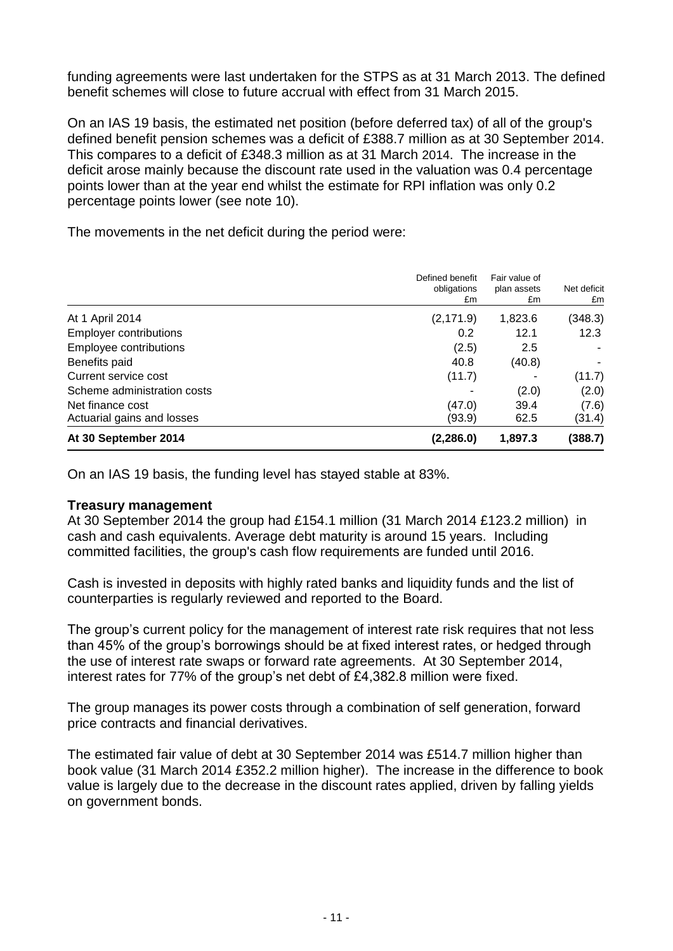funding agreements were last undertaken for the STPS as at 31 March 2013. The defined benefit schemes will close to future accrual with effect from 31 March 2015.

On an IAS 19 basis, the estimated net position (before deferred tax) of all of the group's defined benefit pension schemes was a deficit of £388.7 million as at 30 September 2014. This compares to a deficit of £348.3 million as at 31 March 2014. The increase in the deficit arose mainly because the discount rate used in the valuation was 0.4 percentage points lower than at the year end whilst the estimate for RPI inflation was only 0.2 percentage points lower (see note 10).

The movements in the net deficit during the period were:

| At 30 September 2014          | (2, 286.0)                           | 1,897.3                            | (388.7)           |
|-------------------------------|--------------------------------------|------------------------------------|-------------------|
| Actuarial gains and losses    | (93.9)                               | 62.5                               | (31.4)            |
| Net finance cost              | (47.0)                               | 39.4                               | (7.6)             |
| Scheme administration costs   |                                      | (2.0)                              | (2.0)             |
| Current service cost          | (11.7)                               |                                    | (11.7)            |
| Benefits paid                 | 40.8                                 | (40.8)                             |                   |
| Employee contributions        | (2.5)                                | 2.5                                |                   |
| <b>Employer contributions</b> | 0.2                                  | 12.1                               | 12.3              |
| At 1 April 2014               | (2, 171.9)                           | 1,823.6                            | (348.3)           |
|                               | Defined benefit<br>obligations<br>£m | Fair value of<br>plan assets<br>£m | Net deficit<br>£m |

On an IAS 19 basis, the funding level has stayed stable at 83%.

## **Treasury management**

At 30 September 2014 the group had £154.1 million (31 March 2014 £123.2 million) in cash and cash equivalents. Average debt maturity is around 15 years. Including committed facilities, the group's cash flow requirements are funded until 2016.

Cash is invested in deposits with highly rated banks and liquidity funds and the list of counterparties is regularly reviewed and reported to the Board.

The group's current policy for the management of interest rate risk requires that not less than 45% of the group's borrowings should be at fixed interest rates, or hedged through the use of interest rate swaps or forward rate agreements. At 30 September 2014, interest rates for 77% of the group's net debt of £4,382.8 million were fixed.

The group manages its power costs through a combination of self generation, forward price contracts and financial derivatives.

The estimated fair value of debt at 30 September 2014 was £514.7 million higher than book value (31 March 2014 £352.2 million higher). The increase in the difference to book value is largely due to the decrease in the discount rates applied, driven by falling yields on government bonds.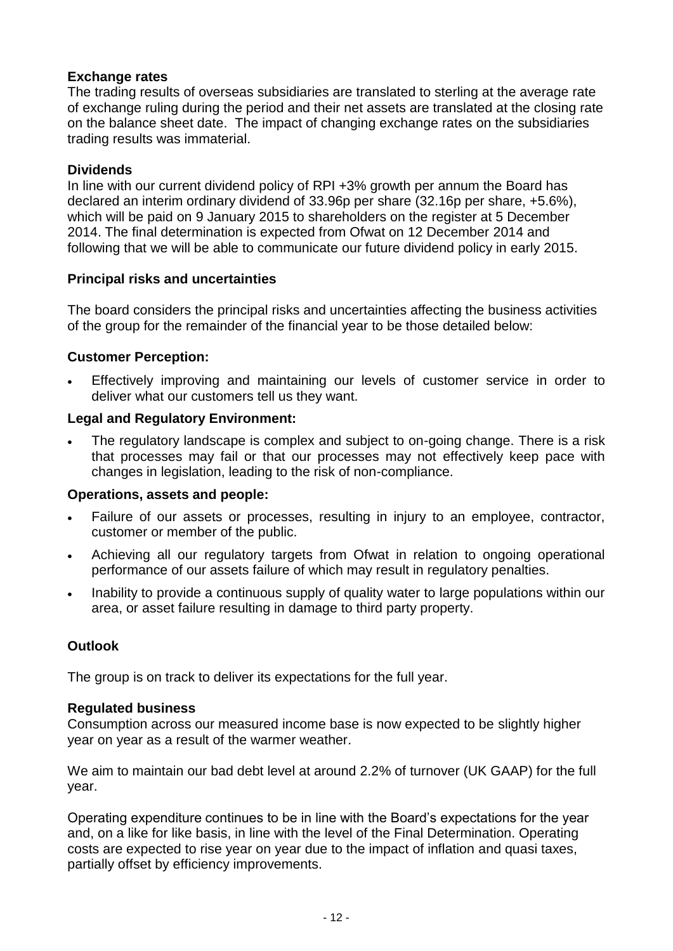# **Exchange rates**

The trading results of overseas subsidiaries are translated to sterling at the average rate of exchange ruling during the period and their net assets are translated at the closing rate on the balance sheet date. The impact of changing exchange rates on the subsidiaries trading results was immaterial.

## **Dividends**

In line with our current dividend policy of RPI +3% growth per annum the Board has declared an interim ordinary dividend of 33.96p per share (32.16p per share, +5.6%), which will be paid on 9 January 2015 to shareholders on the register at 5 December 2014. The final determination is expected from Ofwat on 12 December 2014 and following that we will be able to communicate our future dividend policy in early 2015.

## **Principal risks and uncertainties**

The board considers the principal risks and uncertainties affecting the business activities of the group for the remainder of the financial year to be those detailed below:

## **Customer Perception:**

 Effectively improving and maintaining our levels of customer service in order to deliver what our customers tell us they want.

## **Legal and Regulatory Environment:**

 The regulatory landscape is complex and subject to on-going change. There is a risk that processes may fail or that our processes may not effectively keep pace with changes in legislation, leading to the risk of non-compliance.

## **Operations, assets and people:**

- Failure of our assets or processes, resulting in injury to an employee, contractor, customer or member of the public.
- Achieving all our regulatory targets from Ofwat in relation to ongoing operational performance of our assets failure of which may result in regulatory penalties.
- Inability to provide a continuous supply of quality water to large populations within our area, or asset failure resulting in damage to third party property.

## **Outlook**

The group is on track to deliver its expectations for the full year.

## **Regulated business**

Consumption across our measured income base is now expected to be slightly higher year on year as a result of the warmer weather.

We aim to maintain our bad debt level at around 2.2% of turnover (UK GAAP) for the full year.

Operating expenditure continues to be in line with the Board's expectations for the year and, on a like for like basis, in line with the level of the Final Determination. Operating costs are expected to rise year on year due to the impact of inflation and quasi taxes, partially offset by efficiency improvements.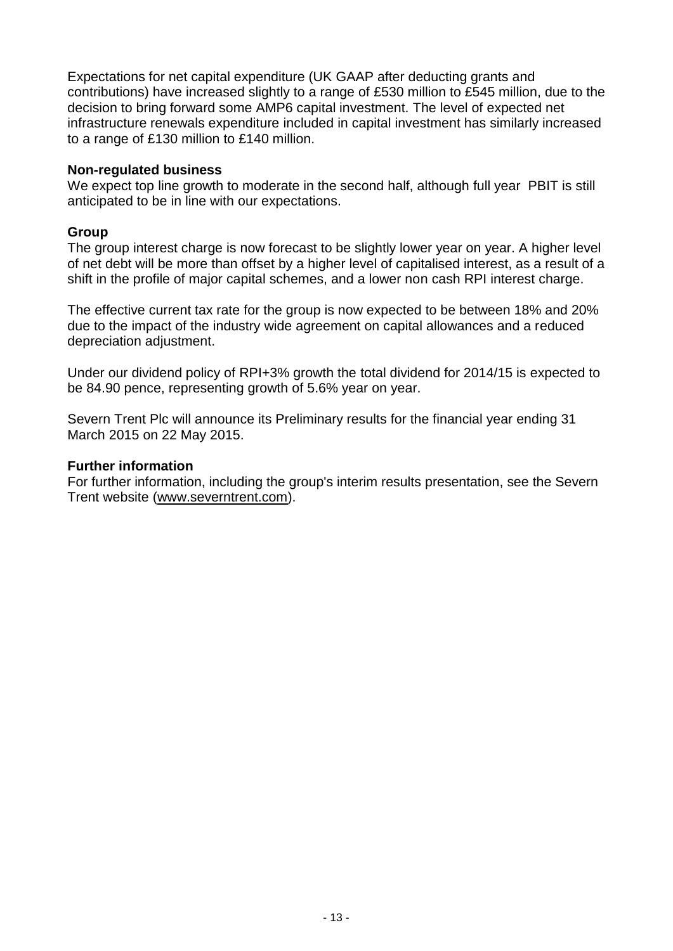Expectations for net capital expenditure (UK GAAP after deducting grants and contributions) have increased slightly to a range of £530 million to £545 million, due to the decision to bring forward some AMP6 capital investment. The level of expected net infrastructure renewals expenditure included in capital investment has similarly increased to a range of £130 million to £140 million.

### **Non-regulated business**

We expect top line growth to moderate in the second half, although full year PBIT is still anticipated to be in line with our expectations.

### **Group**

The group interest charge is now forecast to be slightly lower year on year. A higher level of net debt will be more than offset by a higher level of capitalised interest, as a result of a shift in the profile of major capital schemes, and a lower non cash RPI interest charge.

The effective current tax rate for the group is now expected to be between 18% and 20% due to the impact of the industry wide agreement on capital allowances and a reduced depreciation adjustment.

Under our dividend policy of RPI+3% growth the total dividend for 2014/15 is expected to be 84.90 pence, representing growth of 5.6% year on year.

Severn Trent Plc will announce its Preliminary results for the financial year ending 31 March 2015 on 22 May 2015.

### **Further information**

For further information, including the group's interim results presentation, see the Severn Trent website [\(www.severntrent.com\)](http://www.severntrent.com/).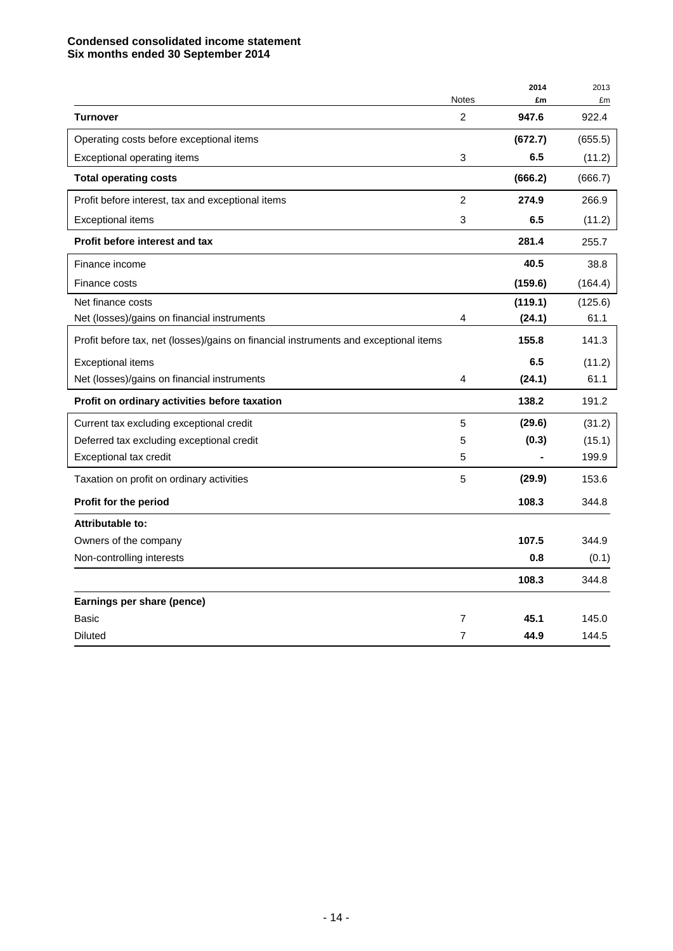### **Condensed consolidated income statement Six months ended 30 September 2014**

|                                                                                      |                | 2014    | 2013    |
|--------------------------------------------------------------------------------------|----------------|---------|---------|
|                                                                                      | <b>Notes</b>   | £m      | £m      |
| <b>Turnover</b>                                                                      | 2              | 947.6   | 922.4   |
| Operating costs before exceptional items                                             |                | (672.7) | (655.5) |
| Exceptional operating items                                                          | 3              | 6.5     | (11.2)  |
| <b>Total operating costs</b>                                                         |                | (666.2) | (666.7) |
| Profit before interest, tax and exceptional items                                    | 2              | 274.9   | 266.9   |
| <b>Exceptional items</b>                                                             | 3              | 6.5     | (11.2)  |
| Profit before interest and tax                                                       |                | 281.4   | 255.7   |
| Finance income                                                                       |                | 40.5    | 38.8    |
| Finance costs                                                                        |                | (159.6) | (164.4) |
| Net finance costs                                                                    |                | (119.1) | (125.6) |
| Net (losses)/gains on financial instruments                                          | 4              | (24.1)  | 61.1    |
| Profit before tax, net (losses)/gains on financial instruments and exceptional items |                | 155.8   | 141.3   |
| <b>Exceptional items</b>                                                             |                | 6.5     | (11.2)  |
| Net (losses)/gains on financial instruments                                          | 4              | (24.1)  | 61.1    |
| Profit on ordinary activities before taxation                                        |                | 138.2   | 191.2   |
| Current tax excluding exceptional credit                                             | 5              | (29.6)  | (31.2)  |
| Deferred tax excluding exceptional credit                                            | 5              | (0.3)   | (15.1)  |
| Exceptional tax credit                                                               | 5              |         | 199.9   |
| Taxation on profit on ordinary activities                                            | 5              | (29.9)  | 153.6   |
| Profit for the period                                                                |                | 108.3   | 344.8   |
| Attributable to:                                                                     |                |         |         |
| Owners of the company                                                                |                | 107.5   | 344.9   |
| Non-controlling interests                                                            |                | 0.8     | (0.1)   |
|                                                                                      |                | 108.3   | 344.8   |
| Earnings per share (pence)                                                           |                |         |         |
| Basic                                                                                | 7              | 45.1    | 145.0   |
| <b>Diluted</b>                                                                       | $\overline{7}$ | 44.9    | 144.5   |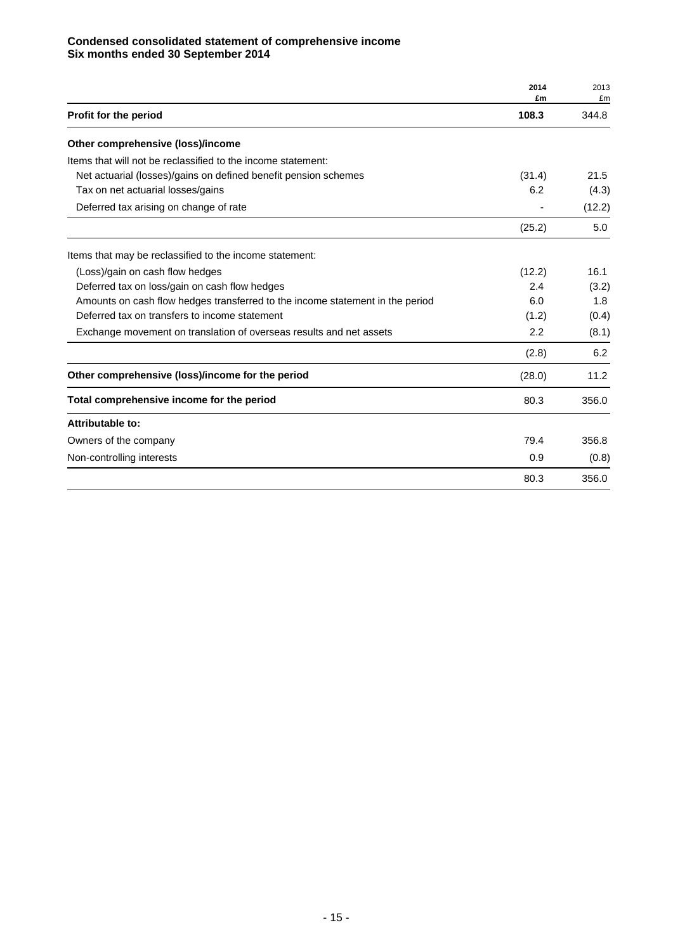### **Condensed consolidated statement of comprehensive income Six months ended 30 September 2014**

|                                                                               | 2014<br>£m | 2013<br>£m |
|-------------------------------------------------------------------------------|------------|------------|
| Profit for the period                                                         | 108.3      | 344.8      |
| Other comprehensive (loss)/income                                             |            |            |
| Items that will not be reclassified to the income statement:                  |            |            |
| Net actuarial (losses)/gains on defined benefit pension schemes               | (31.4)     | 21.5       |
| Tax on net actuarial losses/gains                                             | 6.2        | (4.3)      |
| Deferred tax arising on change of rate                                        |            | (12.2)     |
|                                                                               | (25.2)     | 5.0        |
| Items that may be reclassified to the income statement:                       |            |            |
| (Loss)/gain on cash flow hedges                                               | (12.2)     | 16.1       |
| Deferred tax on loss/gain on cash flow hedges                                 | 2.4        | (3.2)      |
| Amounts on cash flow hedges transferred to the income statement in the period | 6.0        | 1.8        |
| Deferred tax on transfers to income statement                                 | (1.2)      | (0.4)      |
| Exchange movement on translation of overseas results and net assets           | 2.2        | (8.1)      |
|                                                                               | (2.8)      | 6.2        |
| Other comprehensive (loss)/income for the period                              | (28.0)     | 11.2       |
| Total comprehensive income for the period                                     | 80.3       | 356.0      |
| Attributable to:                                                              |            |            |
| Owners of the company                                                         | 79.4       | 356.8      |
| Non-controlling interests                                                     | 0.9        | (0.8)      |
|                                                                               | 80.3       | 356.0      |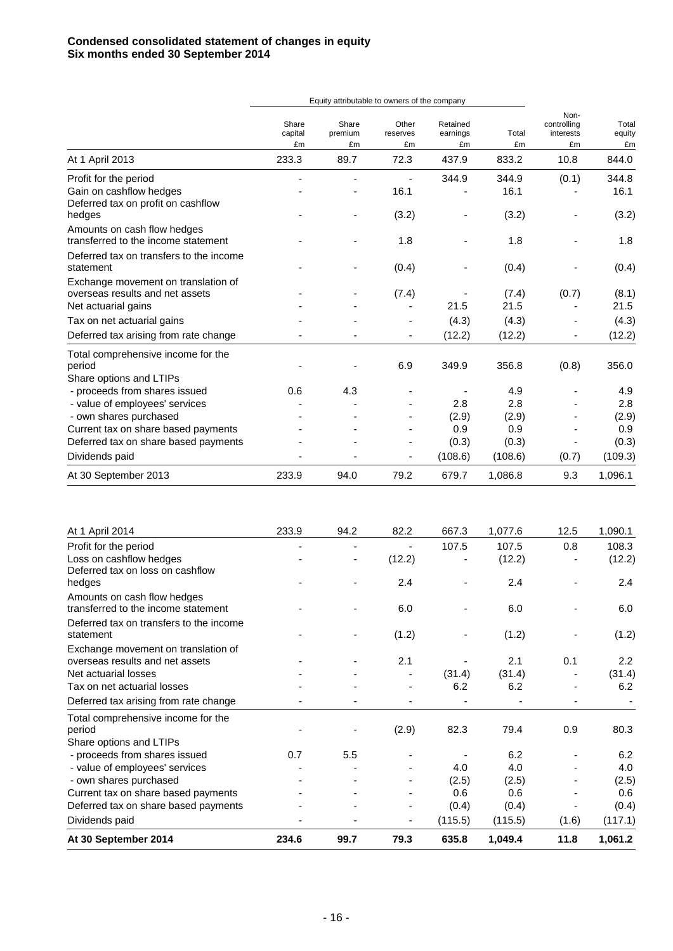|                                                                        | Equity attributable to owners of the company |                        |                         |                            |             |                                        |                       |
|------------------------------------------------------------------------|----------------------------------------------|------------------------|-------------------------|----------------------------|-------------|----------------------------------------|-----------------------|
|                                                                        | Share<br>capital<br>£m                       | Share<br>premium<br>£m | Other<br>reserves<br>£m | Retained<br>earnings<br>£m | Total<br>£m | Non-<br>controlling<br>interests<br>£m | Total<br>equity<br>£m |
| At 1 April 2013                                                        | 233.3                                        | 89.7                   | 72.3                    | 437.9                      | 833.2       | 10.8                                   | 844.0                 |
| Profit for the period                                                  |                                              |                        |                         | 344.9                      | 344.9       | (0.1)                                  | 344.8                 |
| Gain on cashflow hedges<br>Deferred tax on profit on cashflow          |                                              |                        | 16.1                    |                            | 16.1        |                                        | 16.1                  |
| hedges                                                                 |                                              |                        | (3.2)                   |                            | (3.2)       |                                        | (3.2)                 |
| Amounts on cash flow hedges<br>transferred to the income statement     |                                              |                        | 1.8                     |                            | 1.8         |                                        | 1.8                   |
| Deferred tax on transfers to the income<br>statement                   |                                              |                        | (0.4)                   |                            | (0.4)       |                                        | (0.4)                 |
| Exchange movement on translation of<br>overseas results and net assets |                                              |                        | (7.4)                   |                            | (7.4)       | (0.7)                                  | (8.1)                 |
| Net actuarial gains                                                    |                                              |                        |                         | 21.5                       | 21.5        |                                        | 21.5                  |
| Tax on net actuarial gains                                             |                                              |                        |                         | (4.3)                      | (4.3)       |                                        | (4.3)                 |
| Deferred tax arising from rate change                                  |                                              |                        |                         | (12.2)                     | (12.2)      |                                        | (12.2)                |
| Total comprehensive income for the<br>period                           |                                              |                        | 6.9                     | 349.9                      | 356.8       | (0.8)                                  | 356.0                 |
| Share options and LTIPs                                                |                                              |                        |                         |                            |             |                                        |                       |
| - proceeds from shares issued                                          | 0.6                                          | 4.3                    |                         |                            | 4.9         |                                        | 4.9                   |
| - value of employees' services                                         |                                              |                        |                         | 2.8                        | 2.8         |                                        | 2.8                   |
| - own shares purchased                                                 |                                              |                        |                         | (2.9)                      | (2.9)       |                                        | (2.9)                 |
| Current tax on share based payments                                    |                                              |                        |                         | 0.9                        | 0.9         |                                        | 0.9                   |
| Deferred tax on share based payments                                   |                                              |                        |                         | (0.3)                      | (0.3)       |                                        | (0.3)                 |
| Dividends paid                                                         |                                              |                        |                         | (108.6)                    | (108.6)     | (0.7)                                  | (109.3)               |
| At 30 September 2013                                                   | 233.9                                        | 94.0                   | 79.2                    | 679.7                      | 1,086.8     | 9.3                                    | 1,096.1               |

| At 1 April 2014                         | 233.9 | 94.2 | 82.2   | 667.3   | 1,077.6 | 12.5  | 1,090.1          |
|-----------------------------------------|-------|------|--------|---------|---------|-------|------------------|
| Profit for the period                   |       |      |        | 107.5   | 107.5   | 0.8   | 108.3            |
| Loss on cashflow hedges                 |       |      | (12.2) |         | (12.2)  |       | (12.2)           |
| Deferred tax on loss on cashflow        |       |      |        |         |         |       |                  |
| hedges                                  |       |      | 2.4    |         | 2.4     |       | $2.4\,$          |
| Amounts on cash flow hedges             |       |      |        |         |         |       |                  |
| transferred to the income statement     |       |      | 6.0    |         | 6.0     |       | 6.0              |
| Deferred tax on transfers to the income |       |      |        |         |         |       |                  |
| statement                               |       |      | (1.2)  |         | (1.2)   |       | (1.2)            |
| Exchange movement on translation of     |       |      |        |         |         |       |                  |
| overseas results and net assets         |       |      | 2.1    |         | 2.1     | 0.1   | $2.2\phantom{0}$ |
| Net actuarial losses                    |       |      |        | (31.4)  | (31.4)  |       | (31.4)           |
| Tax on net actuarial losses             |       |      |        | 6.2     | 6.2     |       | 6.2              |
| Deferred tax arising from rate change   |       |      |        |         |         |       |                  |
| Total comprehensive income for the      |       |      |        |         |         |       |                  |
| period                                  |       |      | (2.9)  | 82.3    | 79.4    | 0.9   | 80.3             |
| Share options and LTIPs                 |       |      |        |         |         |       |                  |
| - proceeds from shares issued           | 0.7   | 5.5  |        |         | 6.2     |       | 6.2              |
| - value of employees' services          |       |      |        | 4.0     | 4.0     |       | 4.0              |
| - own shares purchased                  |       |      |        | (2.5)   | (2.5)   |       | (2.5)            |
| Current tax on share based payments     |       |      |        | 0.6     | 0.6     |       | 0.6              |
| Deferred tax on share based payments    |       |      |        | (0.4)   | (0.4)   |       | (0.4)            |
| Dividends paid                          |       |      | -      | (115.5) | (115.5) | (1.6) | (117.1)          |
| At 30 September 2014                    | 234.6 | 99.7 | 79.3   | 635.8   | 1,049.4 | 11.8  | 1,061.2          |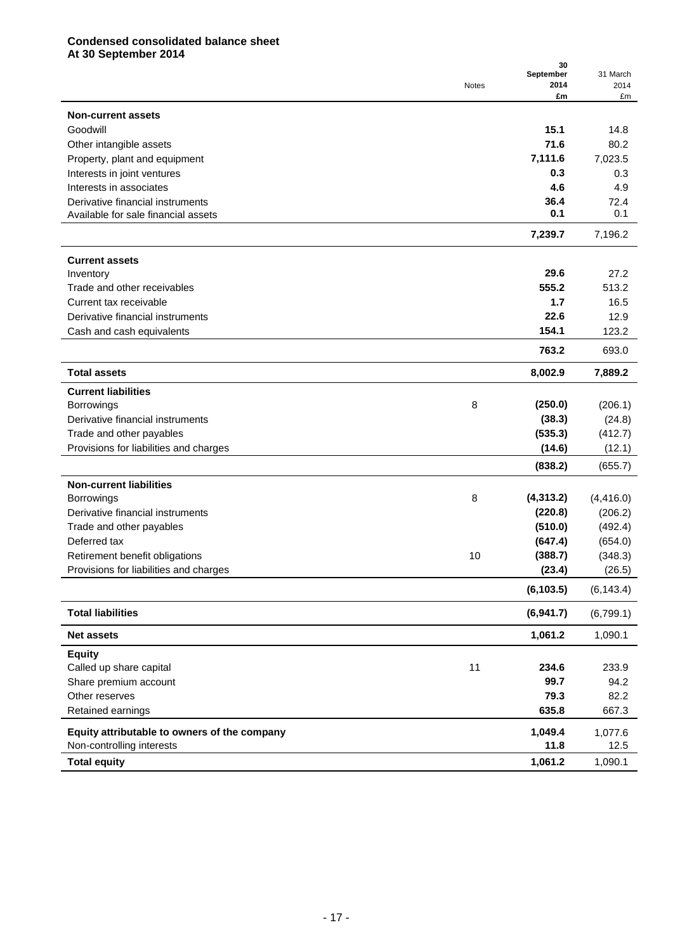### **Condensed consolidated balance sheet At 30 September 2014**

|                                              | Notes | 30<br>September<br>2014 | 31 March<br>2014 |
|----------------------------------------------|-------|-------------------------|------------------|
|                                              |       | £m                      | £m               |
| <b>Non-current assets</b>                    |       |                         |                  |
| Goodwill                                     |       | 15.1                    | 14.8             |
| Other intangible assets                      |       | 71.6                    | 80.2             |
| Property, plant and equipment                |       | 7,111.6                 | 7,023.5          |
| Interests in joint ventures                  |       | 0.3                     | 0.3              |
| Interests in associates                      |       | 4.6                     | 4.9              |
| Derivative financial instruments             |       | 36.4                    | 72.4             |
| Available for sale financial assets          |       | 0.1                     | 0.1              |
|                                              |       | 7,239.7                 | 7,196.2          |
| <b>Current assets</b>                        |       |                         |                  |
| Inventory                                    |       | 29.6                    | 27.2             |
| Trade and other receivables                  |       | 555.2                   | 513.2            |
| Current tax receivable                       |       | 1.7                     | 16.5             |
| Derivative financial instruments             |       | 22.6                    | 12.9             |
| Cash and cash equivalents                    |       | 154.1                   | 123.2            |
|                                              |       | 763.2                   | 693.0            |
| <b>Total assets</b>                          |       | 8,002.9                 | 7,889.2          |
| <b>Current liabilities</b>                   |       |                         |                  |
| Borrowings                                   | 8     | (250.0)                 | (206.1)          |
| Derivative financial instruments             |       | (38.3)                  | (24.8)           |
| Trade and other payables                     |       | (535.3)                 | (412.7)          |
| Provisions for liabilities and charges       |       | (14.6)                  | (12.1)           |
|                                              |       | (838.2)                 | (655.7)          |
| <b>Non-current liabilities</b>               |       |                         |                  |
| <b>Borrowings</b>                            | 8     | (4,313.2)               | (4, 416.0)       |
| Derivative financial instruments             |       | (220.8)                 | (206.2)          |
| Trade and other payables                     |       | (510.0)                 | (492.4)          |
| Deferred tax                                 |       | (647.4)                 | (654.0)          |
| Retirement benefit obligations               | 10    | (388.7)                 | (348.3)          |
| Provisions for liabilities and charges       |       | (23.4)                  | (26.5)           |
|                                              |       | (6, 103.5)              | (6, 143.4)       |
| <b>Total liabilities</b>                     |       | (6,941.7)               | (6,799.1)        |
| <b>Net assets</b>                            |       | 1,061.2                 | 1,090.1          |
| <b>Equity</b>                                |       |                         |                  |
| Called up share capital                      | 11    | 234.6                   | 233.9            |
| Share premium account                        |       | 99.7                    | 94.2             |
| Other reserves                               |       | 79.3                    | 82.2             |
| Retained earnings                            |       | 635.8                   | 667.3            |
| Equity attributable to owners of the company |       | 1,049.4                 | 1,077.6          |
| Non-controlling interests                    |       | 11.8                    | 12.5             |
| <b>Total equity</b>                          |       | 1,061.2                 | 1,090.1          |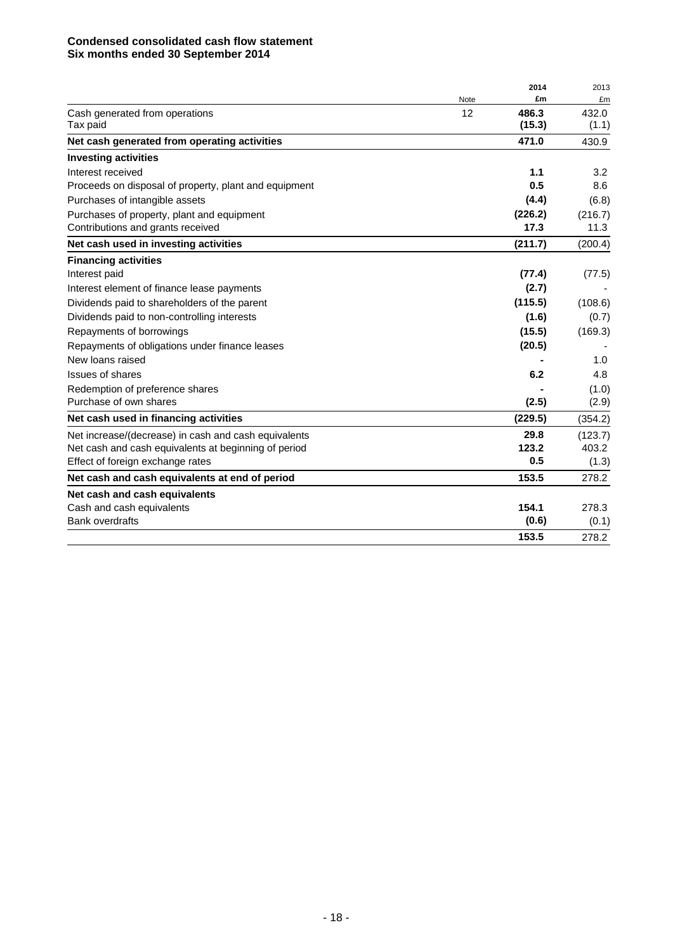### **Condensed consolidated cash flow statement Six months ended 30 September 2014**

|                                                       |      | 2014    | 2013    |
|-------------------------------------------------------|------|---------|---------|
|                                                       | Note | £m      | £m      |
| Cash generated from operations                        | 12   | 486.3   | 432.0   |
| Tax paid                                              |      | (15.3)  | (1.1)   |
| Net cash generated from operating activities          |      | 471.0   | 430.9   |
| <b>Investing activities</b>                           |      |         |         |
| Interest received                                     |      | 1.1     | 3.2     |
| Proceeds on disposal of property, plant and equipment |      | 0.5     | 8.6     |
| Purchases of intangible assets                        |      | (4.4)   | (6.8)   |
| Purchases of property, plant and equipment            |      | (226.2) | (216.7) |
| Contributions and grants received                     |      | 17.3    | 11.3    |
| Net cash used in investing activities                 |      | (211.7) | (200.4) |
| <b>Financing activities</b>                           |      |         |         |
| Interest paid                                         |      | (77.4)  | (77.5)  |
| Interest element of finance lease payments            |      | (2.7)   |         |
| Dividends paid to shareholders of the parent          |      | (115.5) | (108.6) |
| Dividends paid to non-controlling interests           |      | (1.6)   | (0.7)   |
| Repayments of borrowings                              |      | (15.5)  | (169.3) |
| Repayments of obligations under finance leases        |      | (20.5)  |         |
| New loans raised                                      |      |         | 1.0     |
| Issues of shares                                      |      | 6.2     | 4.8     |
| Redemption of preference shares                       |      |         | (1.0)   |
| Purchase of own shares                                |      | (2.5)   | (2.9)   |
| Net cash used in financing activities                 |      | (229.5) | (354.2) |
| Net increase/(decrease) in cash and cash equivalents  |      | 29.8    | (123.7) |
| Net cash and cash equivalents at beginning of period  |      | 123.2   | 403.2   |
| Effect of foreign exchange rates                      |      | 0.5     | (1.3)   |
| Net cash and cash equivalents at end of period        |      | 153.5   | 278.2   |
| Net cash and cash equivalents                         |      |         |         |
| Cash and cash equivalents                             |      | 154.1   | 278.3   |
| <b>Bank overdrafts</b>                                |      | (0.6)   | (0.1)   |
|                                                       |      | 153.5   | 278.2   |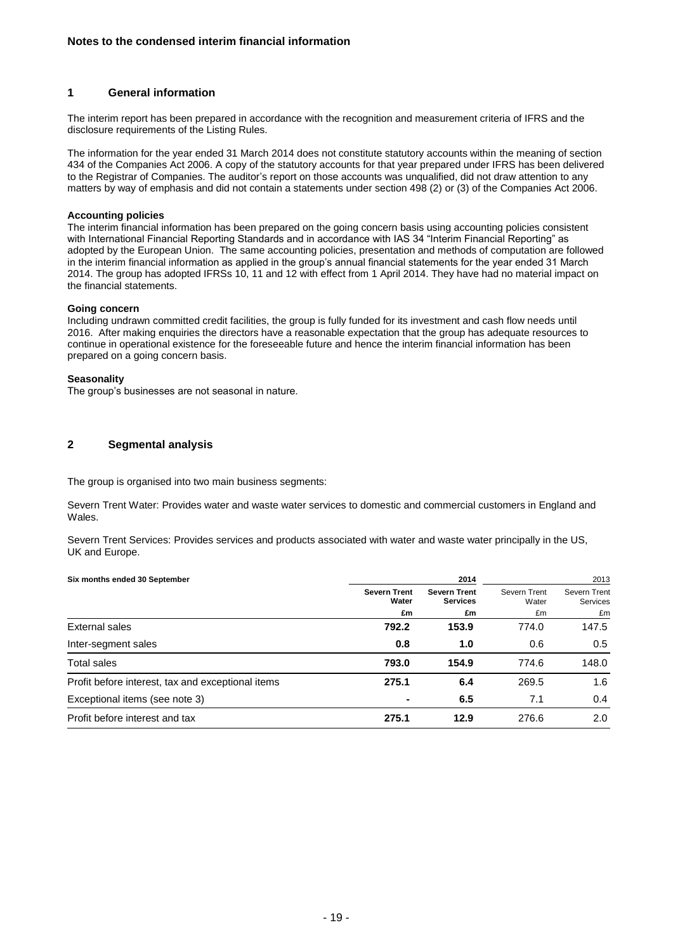#### **1 General information**

The interim report has been prepared in accordance with the recognition and measurement criteria of IFRS and the disclosure requirements of the Listing Rules.

The information for the year ended 31 March 2014 does not constitute statutory accounts within the meaning of section 434 of the Companies Act 2006. A copy of the statutory accounts for that year prepared under IFRS has been delivered to the Registrar of Companies. The auditor's report on those accounts was unqualified, did not draw attention to any matters by way of emphasis and did not contain a statements under section 498 (2) or (3) of the Companies Act 2006.

#### **Accounting policies**

The interim financial information has been prepared on the going concern basis using accounting policies consistent with International Financial Reporting Standards and in accordance with IAS 34 "Interim Financial Reporting" as adopted by the European Union. The same accounting policies, presentation and methods of computation are followed in the interim financial information as applied in the group's annual financial statements for the year ended 31 March 2014. The group has adopted IFRSs 10, 11 and 12 with effect from 1 April 2014. They have had no material impact on the financial statements.

#### **Going concern**

Including undrawn committed credit facilities, the group is fully funded for its investment and cash flow needs until 2016. After making enquiries the directors have a reasonable expectation that the group has adequate resources to continue in operational existence for the foreseeable future and hence the interim financial information has been prepared on a going concern basis.

#### **Seasonality**

The group's businesses are not seasonal in nature.

#### **2 Segmental analysis**

The group is organised into two main business segments:

Severn Trent Water: Provides water and waste water services to domestic and commercial customers in England and Wales.

Severn Trent Services: Provides services and products associated with water and waste water principally in the US, UK and Europe.

| Six months ended 30 September                     |                              | 2014                                   |                       | 2013                                   |  |
|---------------------------------------------------|------------------------------|----------------------------------------|-----------------------|----------------------------------------|--|
|                                                   | <b>Severn Trent</b><br>Water | <b>Severn Trent</b><br><b>Services</b> | Severn Trent<br>Water | <b>Severn Trent</b><br><b>Services</b> |  |
|                                                   | £m                           | £m                                     | £m                    | £m                                     |  |
| External sales                                    | 792.2                        | 153.9                                  | 774.0                 | 147.5                                  |  |
| Inter-segment sales                               | 0.8                          | 1.0                                    | 0.6                   | 0.5                                    |  |
| <b>Total sales</b>                                | 793.0                        | 154.9                                  | 774.6                 | 148.0                                  |  |
| Profit before interest, tax and exceptional items | 275.1                        | 6.4                                    | 269.5                 | 1.6                                    |  |
| Exceptional items (see note 3)                    |                              | 6.5                                    | 7.1                   | 0.4                                    |  |
| Profit before interest and tax                    | 275.1                        | 12.9                                   | 276.6                 | 2.0                                    |  |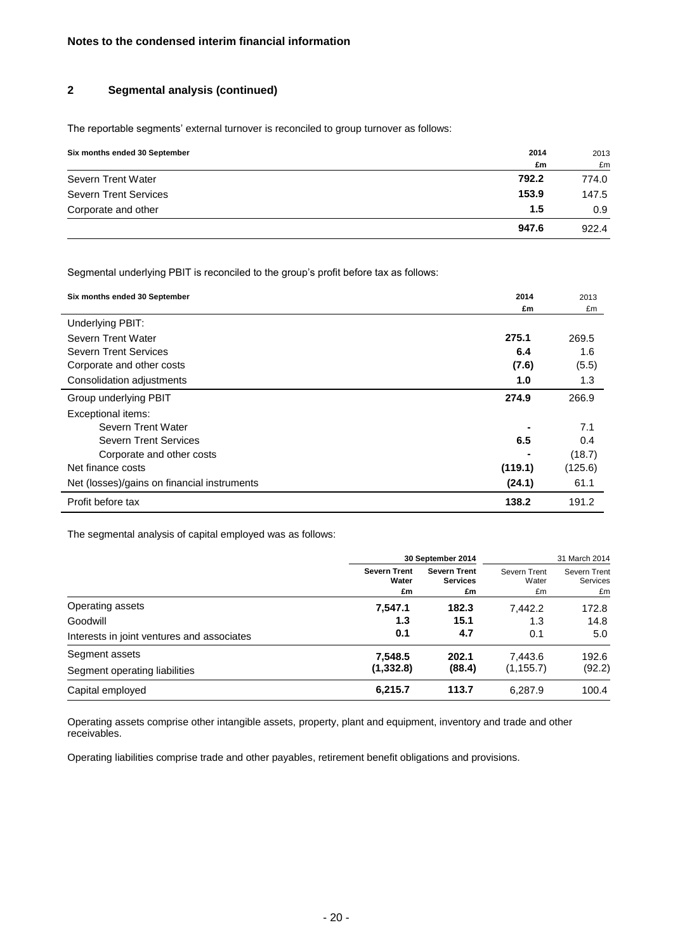### **2 Segmental analysis (continued)**

The reportable segments' external turnover is reconciled to group turnover as follows:

| Six months ended 30 September | 2014  | 2013  |
|-------------------------------|-------|-------|
|                               | £m    | £m    |
| Severn Trent Water            | 792.2 | 774.0 |
| <b>Severn Trent Services</b>  | 153.9 | 147.5 |
| Corporate and other           | 1.5   | 0.9   |
|                               | 947.6 | 922.4 |

Segmental underlying PBIT is reconciled to the group's profit before tax as follows:

| Six months ended 30 September               | 2014    | 2013    |
|---------------------------------------------|---------|---------|
|                                             | £m      | £m      |
| Underlying PBIT:                            |         |         |
| Severn Trent Water                          | 275.1   | 269.5   |
| Severn Trent Services                       | 6.4     | 1.6     |
| Corporate and other costs                   | (7.6)   | (5.5)   |
| Consolidation adjustments                   | 1.0     | 1.3     |
| Group underlying PBIT                       | 274.9   | 266.9   |
| Exceptional items:                          |         |         |
| Severn Trent Water                          |         | 7.1     |
| <b>Severn Trent Services</b>                | 6.5     | 0.4     |
| Corporate and other costs                   |         | (18.7)  |
| Net finance costs                           | (119.1) | (125.6) |
| Net (losses)/gains on financial instruments | (24.1)  | 61.1    |
| Profit before tax                           | 138.2   | 191.2   |

The segmental analysis of capital employed was as follows:

|                                            | 30 September 2014                  |                                              |                             | 31 March 2014                         |
|--------------------------------------------|------------------------------------|----------------------------------------------|-----------------------------|---------------------------------------|
|                                            | <b>Severn Trent</b><br>Water<br>£m | <b>Severn Trent</b><br><b>Services</b><br>£m | Severn Trent<br>Water<br>£m | Severn Trent<br><b>Services</b><br>£m |
| Operating assets                           | 7,547.1                            | 182.3                                        | 7.442.2                     | 172.8                                 |
| Goodwill                                   | 1.3                                | 15.1                                         | 1.3                         | 14.8                                  |
| Interests in joint ventures and associates | 0.1                                | 4.7                                          | 0.1                         | 5.0                                   |
| Segment assets                             | 7,548.5                            | 202.1                                        | 7.443.6                     | 192.6                                 |
| Segment operating liabilities              | (1,332.8)                          | (88.4)                                       | (1, 155.7)                  | (92.2)                                |
| Capital employed                           | 6,215.7                            | 113.7                                        | 6,287.9                     | 100.4                                 |

Operating assets comprise other intangible assets, property, plant and equipment, inventory and trade and other receivables.

Operating liabilities comprise trade and other payables, retirement benefit obligations and provisions.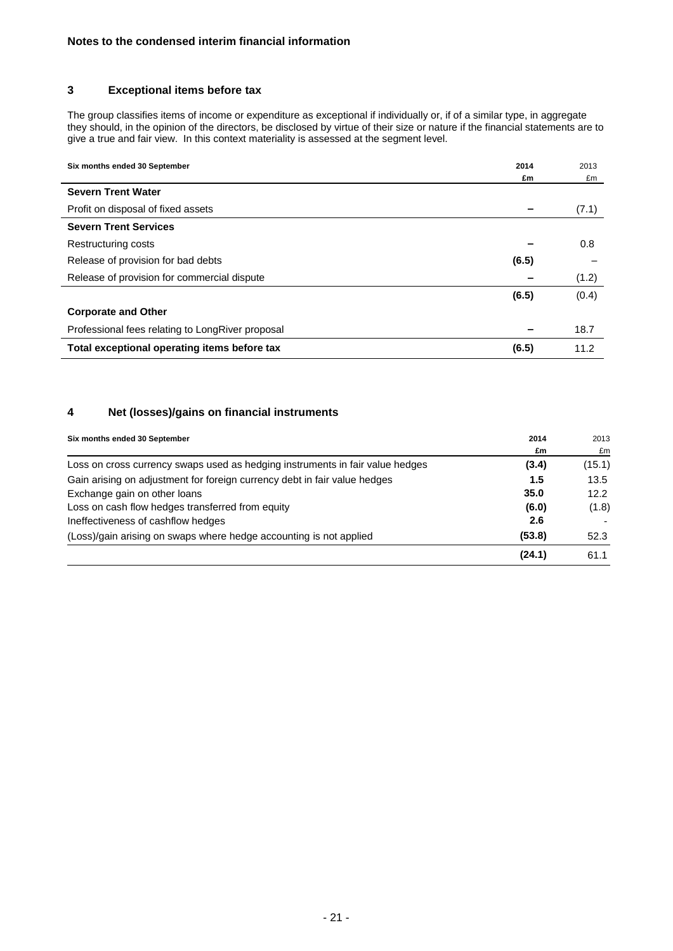### **3 Exceptional items before tax**

The group classifies items of income or expenditure as exceptional if individually or, if of a similar type, in aggregate they should, in the opinion of the directors, be disclosed by virtue of their size or nature if the financial statements are to give a true and fair view. In this context materiality is assessed at the segment level.

| Six months ended 30 September                    | 2014  | 2013  |
|--------------------------------------------------|-------|-------|
|                                                  | £m    | £m    |
| <b>Severn Trent Water</b>                        |       |       |
| Profit on disposal of fixed assets               |       | (7.1) |
| <b>Severn Trent Services</b>                     |       |       |
| Restructuring costs                              |       | 0.8   |
| Release of provision for bad debts               | (6.5) |       |
| Release of provision for commercial dispute      |       | (1.2) |
|                                                  | (6.5) | (0.4) |
| <b>Corporate and Other</b>                       |       |       |
| Professional fees relating to LongRiver proposal |       | 18.7  |
| Total exceptional operating items before tax     | (6.5) | 11.2  |

### **4 Net (losses)/gains on financial instruments**

| Six months ended 30 September                                                 | 2014   | 2013   |
|-------------------------------------------------------------------------------|--------|--------|
|                                                                               | £m     | £m     |
| Loss on cross currency swaps used as hedging instruments in fair value hedges | (3.4)  | (15.1) |
| Gain arising on adjustment for foreign currency debt in fair value hedges     | 1.5    | 13.5   |
| Exchange gain on other loans                                                  | 35.0   | 12.2   |
| Loss on cash flow hedges transferred from equity                              | (6.0)  | (1.8)  |
| Ineffectiveness of cashflow hedges                                            | 2.6    |        |
| (Loss)/gain arising on swaps where hedge accounting is not applied            | (53.8) | 52.3   |
|                                                                               | (24.1) | 61.1   |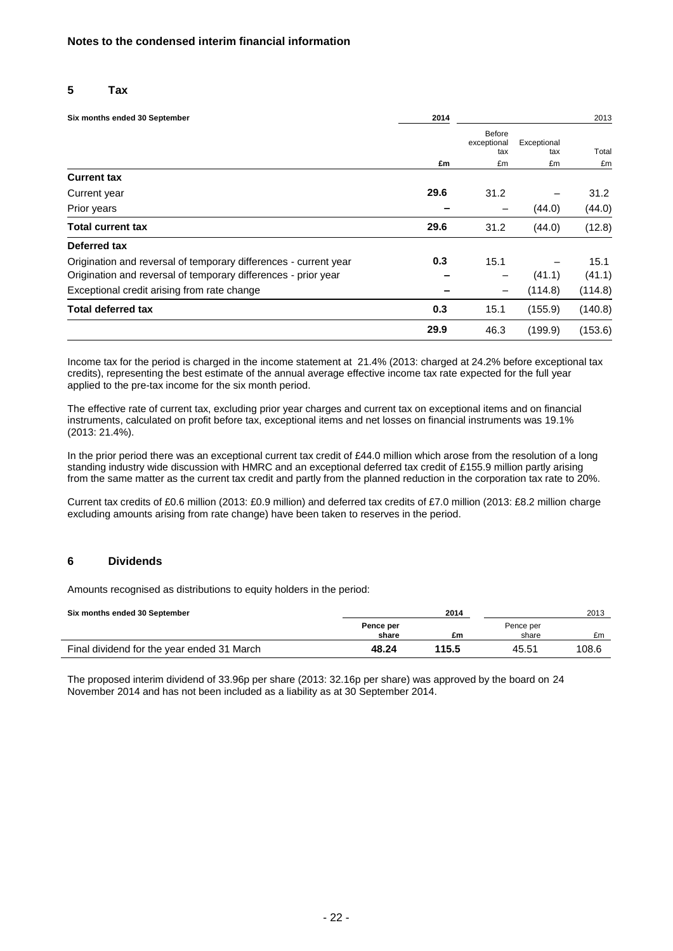#### **5 Tax**

| Six months ended 30 September                                    | 2014 |                              |                    | 2013    |
|------------------------------------------------------------------|------|------------------------------|--------------------|---------|
|                                                                  |      | Before<br>exceptional<br>tax | Exceptional<br>tax | Total   |
|                                                                  | £m   | £m                           | £m                 | £m      |
| <b>Current tax</b>                                               |      |                              |                    |         |
| Current year                                                     | 29.6 | 31.2                         |                    | 31.2    |
| Prior years                                                      |      |                              | (44.0)             | (44.0)  |
| <b>Total current tax</b>                                         | 29.6 | 31.2                         | (44.0)             | (12.8)  |
| Deferred tax                                                     |      |                              |                    |         |
| Origination and reversal of temporary differences - current year | 0.3  | 15.1                         |                    | 15.1    |
| Origination and reversal of temporary differences - prior year   |      |                              | (41.1)             | (41.1)  |
| Exceptional credit arising from rate change                      |      |                              | (114.8)            | (114.8) |
| <b>Total deferred tax</b>                                        | 0.3  | 15.1                         | (155.9)            | (140.8) |
|                                                                  | 29.9 | 46.3                         | (199.9)            | (153.6) |

Income tax for the period is charged in the income statement at 21.4% (2013: charged at 24.2% before exceptional tax credits), representing the best estimate of the annual average effective income tax rate expected for the full year applied to the pre-tax income for the six month period.

The effective rate of current tax, excluding prior year charges and current tax on exceptional items and on financial instruments, calculated on profit before tax, exceptional items and net losses on financial instruments was 19.1% (2013: 21.4%).

In the prior period there was an exceptional current tax credit of £44.0 million which arose from the resolution of a long standing industry wide discussion with HMRC and an exceptional deferred tax credit of £155.9 million partly arising from the same matter as the current tax credit and partly from the planned reduction in the corporation tax rate to 20%.

Current tax credits of £0.6 million (2013: £0.9 million) and deferred tax credits of £7.0 million (2013: £8.2 million charge excluding amounts arising from rate change) have been taken to reserves in the period.

#### **6 Dividends**

Amounts recognised as distributions to equity holders in the period:

| Six months ended 30 September              |                    | 2014  |                    | 2013  |
|--------------------------------------------|--------------------|-------|--------------------|-------|
|                                            | Pence per<br>share | £m    | Pence per<br>share | £m    |
| Final dividend for the year ended 31 March | 48.24              | 115.5 | 45.51              | 108.6 |

The proposed interim dividend of 33.96p per share (2013: 32.16p per share) was approved by the board on 24 November 2014 and has not been included as a liability as at 30 September 2014.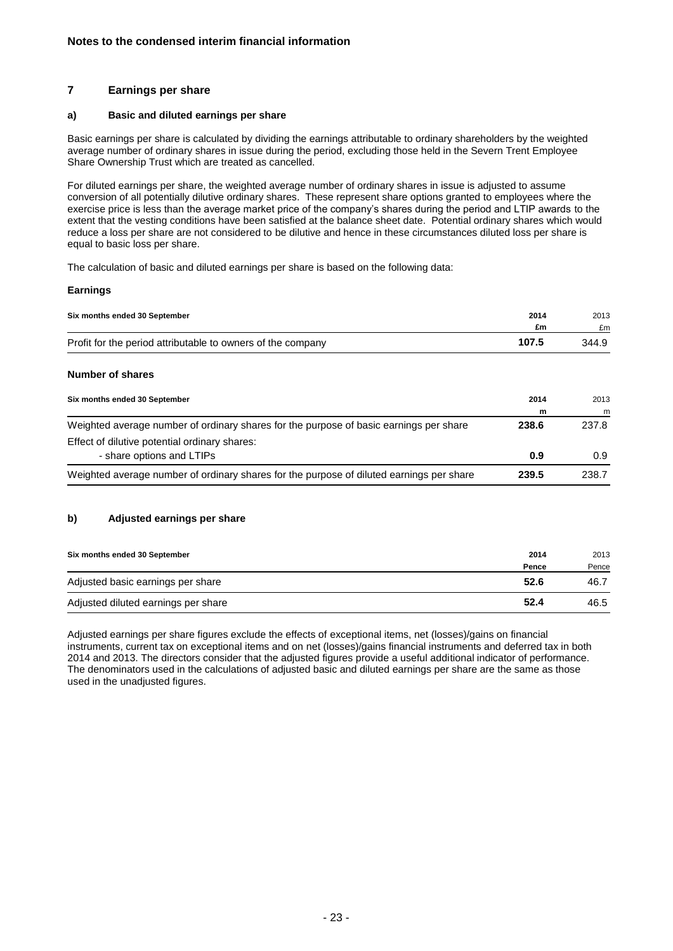### **7 Earnings per share**

#### **a) Basic and diluted earnings per share**

Basic earnings per share is calculated by dividing the earnings attributable to ordinary shareholders by the weighted average number of ordinary shares in issue during the period, excluding those held in the Severn Trent Employee Share Ownership Trust which are treated as cancelled.

For diluted earnings per share, the weighted average number of ordinary shares in issue is adjusted to assume conversion of all potentially dilutive ordinary shares. These represent share options granted to employees where the exercise price is less than the average market price of the company's shares during the period and LTIP awards to the extent that the vesting conditions have been satisfied at the balance sheet date. Potential ordinary shares which would reduce a loss per share are not considered to be dilutive and hence in these circumstances diluted loss per share is equal to basic loss per share.

The calculation of basic and diluted earnings per share is based on the following data:

#### **Earnings**

|                                                             | 2014  | 2013  |
|-------------------------------------------------------------|-------|-------|
|                                                             | £m    | £m    |
| Profit for the period attributable to owners of the company | 107.5 | 344.9 |
|                                                             |       |       |

#### **Number of shares**

| Six months ended 30 September                                                            | 2014  | 2013  |
|------------------------------------------------------------------------------------------|-------|-------|
|                                                                                          | m     | m     |
| Weighted average number of ordinary shares for the purpose of basic earnings per share   | 238.6 | 237.8 |
| Effect of dilutive potential ordinary shares:                                            |       |       |
| - share options and LTIPs                                                                | 0.9   | 0.9   |
| Weighted average number of ordinary shares for the purpose of diluted earnings per share | 239.5 | 238.7 |

#### **b) Adjusted earnings per share**

| Six months ended 30 September       | 2014  | 2013  |
|-------------------------------------|-------|-------|
|                                     | Pence | Pence |
| Adjusted basic earnings per share   | 52.6  | 46.7  |
| Adjusted diluted earnings per share | 52.4  | 46.5  |

Adjusted earnings per share figures exclude the effects of exceptional items, net (losses)/gains on financial instruments, current tax on exceptional items and on net (losses)/gains financial instruments and deferred tax in both 2014 and 2013. The directors consider that the adjusted figures provide a useful additional indicator of performance. The denominators used in the calculations of adjusted basic and diluted earnings per share are the same as those used in the unadjusted figures.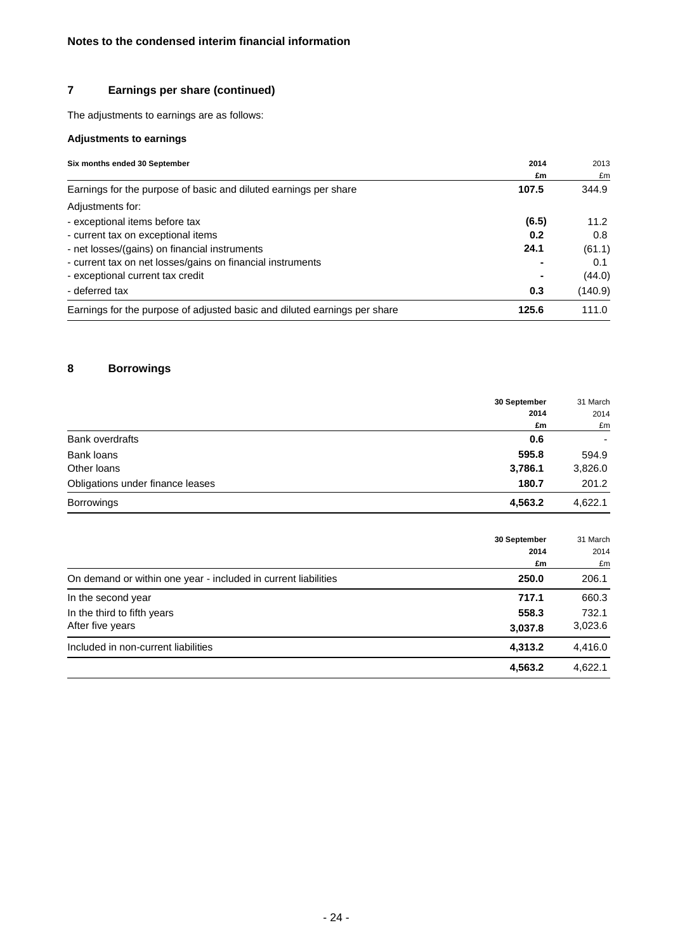# **7 Earnings per share (continued)**

The adjustments to earnings are as follows:

# **Adjustments to earnings**

| Six months ended 30 September                                             | 2014  | 2013    |  |
|---------------------------------------------------------------------------|-------|---------|--|
|                                                                           | £m    | £m      |  |
| Earnings for the purpose of basic and diluted earnings per share          | 107.5 | 344.9   |  |
| Adjustments for:                                                          |       |         |  |
| - exceptional items before tax                                            | (6.5) | 11.2    |  |
| - current tax on exceptional items                                        | 0.2   | 0.8     |  |
| - net losses/(gains) on financial instruments                             | 24.1  | (61.1)  |  |
| - current tax on net losses/gains on financial instruments                |       | 0.1     |  |
| - exceptional current tax credit                                          |       | (44.0)  |  |
| - deferred tax                                                            | 0.3   | (140.9) |  |
| Earnings for the purpose of adjusted basic and diluted earnings per share | 125.6 | 111.0   |  |

# **8 Borrowings**

|                                  | 30 September | 31 March |
|----------------------------------|--------------|----------|
|                                  | 2014         | 2014     |
|                                  | £m           | £m       |
| <b>Bank overdrafts</b>           | 0.6          |          |
| Bank loans                       | 595.8        | 594.9    |
| Other loans                      | 3,786.1      | 3,826.0  |
| Obligations under finance leases | 180.7        | 201.2    |
| <b>Borrowings</b>                | 4,563.2      | 4,622.1  |

|                                                                | 30 September<br>2014 | 31 March<br>2014 |
|----------------------------------------------------------------|----------------------|------------------|
|                                                                | £m                   | £m               |
| On demand or within one year - included in current liabilities | 250.0                | 206.1            |
| In the second year                                             | 717.1                | 660.3            |
| In the third to fifth years                                    | 558.3                | 732.1            |
| After five years                                               | 3,037.8              | 3,023.6          |
| Included in non-current liabilities                            | 4,313.2              | 4,416.0          |
|                                                                | 4,563.2              | 4.622.1          |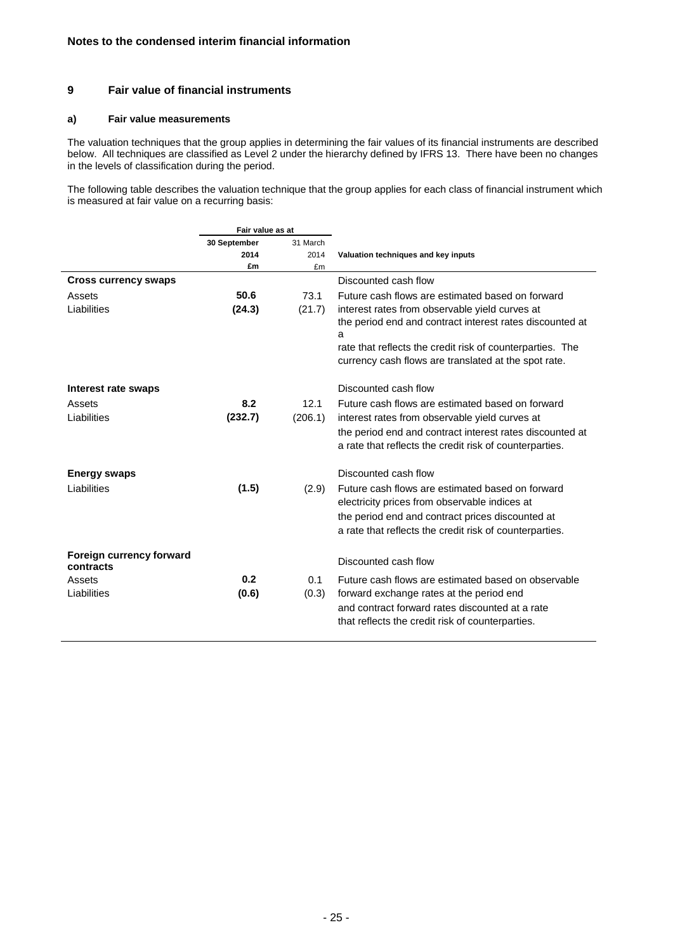### **9 Fair value of financial instruments**

#### **a) Fair value measurements**

The valuation techniques that the group applies in determining the fair values of its financial instruments are described below. All techniques are classified as Level 2 under the hierarchy defined by IFRS 13. There have been no changes in the levels of classification during the period.

The following table describes the valuation technique that the group applies for each class of financial instrument which is measured at fair value on a recurring basis:

|                                       | Fair value as at |              |                                                                                                                                                                                                                  |
|---------------------------------------|------------------|--------------|------------------------------------------------------------------------------------------------------------------------------------------------------------------------------------------------------------------|
|                                       | 30 September     | 31 March     |                                                                                                                                                                                                                  |
|                                       | 2014             | 2014         | Valuation techniques and key inputs                                                                                                                                                                              |
|                                       | £m               | £m           |                                                                                                                                                                                                                  |
| <b>Cross currency swaps</b>           |                  |              | Discounted cash flow                                                                                                                                                                                             |
| Assets                                | 50.6             | 73.1         | Future cash flows are estimated based on forward                                                                                                                                                                 |
| Liabilities                           | (24.3)           | (21.7)       | interest rates from observable yield curves at<br>the period end and contract interest rates discounted at<br>a<br>rate that reflects the credit risk of counterparties. The                                     |
|                                       |                  |              | currency cash flows are translated at the spot rate.                                                                                                                                                             |
| Interest rate swaps                   |                  |              | Discounted cash flow                                                                                                                                                                                             |
| Assets                                | 8.2              | 12.1         | Future cash flows are estimated based on forward                                                                                                                                                                 |
| Liabilities                           | (232.7)          | (206.1)      | interest rates from observable yield curves at                                                                                                                                                                   |
|                                       |                  |              | the period end and contract interest rates discounted at<br>a rate that reflects the credit risk of counterparties.                                                                                              |
| <b>Energy swaps</b>                   |                  |              | Discounted cash flow                                                                                                                                                                                             |
| Liabilities                           | (1.5)            | (2.9)        | Future cash flows are estimated based on forward<br>electricity prices from observable indices at<br>the period end and contract prices discounted at<br>a rate that reflects the credit risk of counterparties. |
| Foreign currency forward<br>contracts |                  |              | Discounted cash flow                                                                                                                                                                                             |
| Assets<br>Liabilities                 | 0.2<br>(0.6)     | 0.1<br>(0.3) | Future cash flows are estimated based on observable<br>forward exchange rates at the period end<br>and contract forward rates discounted at a rate<br>that reflects the credit risk of counterparties.           |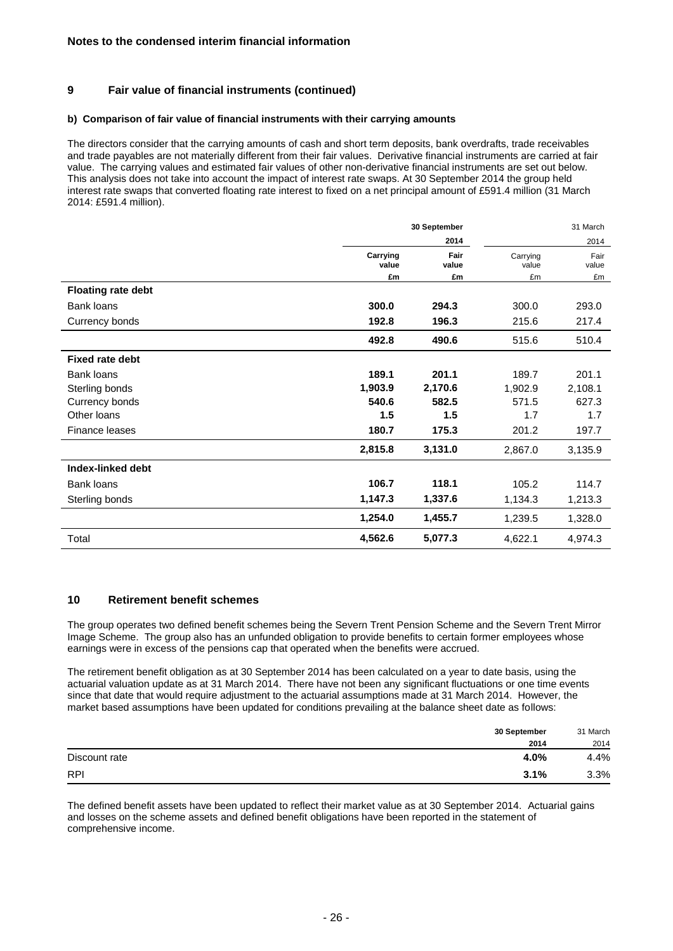### **9 Fair value of financial instruments (continued)**

#### **b) Comparison of fair value of financial instruments with their carrying amounts**

The directors consider that the carrying amounts of cash and short term deposits, bank overdrafts, trade receivables and trade payables are not materially different from their fair values. Derivative financial instruments are carried at fair value. The carrying values and estimated fair values of other non-derivative financial instruments are set out below. This analysis does not take into account the impact of interest rate swaps. At 30 September 2014 the group held interest rate swaps that converted floating rate interest to fixed on a net principal amount of £591.4 million (31 March 2014: £591.4 million).

|                           | 30 September            |                     | 31 March                |                     |
|---------------------------|-------------------------|---------------------|-------------------------|---------------------|
|                           |                         | 2014                |                         | 2014                |
|                           | Carrying<br>value<br>£m | Fair<br>value<br>£m | Carrying<br>value<br>£m | Fair<br>value<br>£m |
| <b>Floating rate debt</b> |                         |                     |                         |                     |
| Bank loans                | 300.0                   | 294.3               | 300.0                   | 293.0               |
| Currency bonds            | 192.8                   | 196.3               | 215.6                   | 217.4               |
|                           | 492.8                   | 490.6               | 515.6                   | 510.4               |
| <b>Fixed rate debt</b>    |                         |                     |                         |                     |
| Bank loans                | 189.1                   | 201.1               | 189.7                   | 201.1               |
| Sterling bonds            | 1,903.9                 | 2,170.6             | 1,902.9                 | 2,108.1             |
| Currency bonds            | 540.6                   | 582.5               | 571.5                   | 627.3               |
| Other Ioans               | 1.5                     | 1.5                 | 1.7                     | 1.7                 |
| Finance leases            | 180.7                   | 175.3               | 201.2                   | 197.7               |
|                           | 2,815.8                 | 3,131.0             | 2,867.0                 | 3,135.9             |
| Index-linked debt         |                         |                     |                         |                     |
| Bank loans                | 106.7                   | 118.1               | 105.2                   | 114.7               |
| Sterling bonds            | 1,147.3                 | 1,337.6             | 1,134.3                 | 1,213.3             |
|                           | 1,254.0                 | 1,455.7             | 1,239.5                 | 1,328.0             |
| Total                     | 4,562.6                 | 5,077.3             | 4,622.1                 | 4,974.3             |

### **10 Retirement benefit schemes**

The group operates two defined benefit schemes being the Severn Trent Pension Scheme and the Severn Trent Mirror Image Scheme. The group also has an unfunded obligation to provide benefits to certain former employees whose earnings were in excess of the pensions cap that operated when the benefits were accrued.

The retirement benefit obligation as at 30 September 2014 has been calculated on a year to date basis, using the actuarial valuation update as at 31 March 2014. There have not been any significant fluctuations or one time events since that date that would require adjustment to the actuarial assumptions made at 31 March 2014. However, the market based assumptions have been updated for conditions prevailing at the balance sheet date as follows:

|               | 30 September |      |
|---------------|--------------|------|
|               | 2014         | 2014 |
| Discount rate | 4.0%         | 4.4% |
| <b>RPI</b>    | 3.1%         | 3.3% |

The defined benefit assets have been updated to reflect their market value as at 30 September 2014. Actuarial gains and losses on the scheme assets and defined benefit obligations have been reported in the statement of comprehensive income.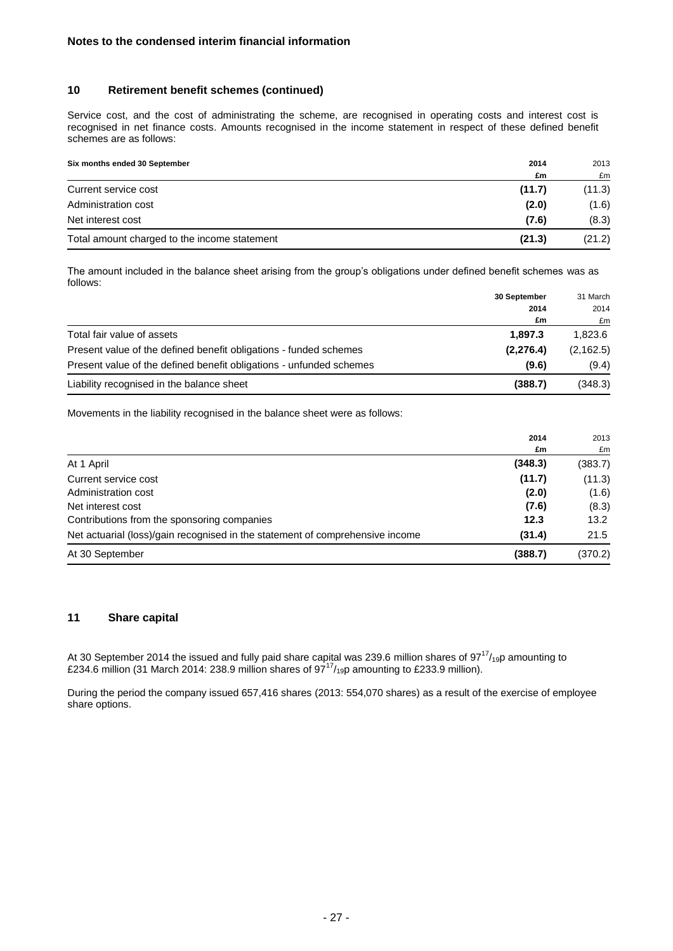### **10 Retirement benefit schemes (continued)**

Service cost, and the cost of administrating the scheme, are recognised in operating costs and interest cost is recognised in net finance costs. Amounts recognised in the income statement in respect of these defined benefit schemes are as follows:

| Six months ended 30 September                | 2014   | 2013   |
|----------------------------------------------|--------|--------|
|                                              | £m     | £m     |
| Current service cost                         | (11.7) | (11.3) |
| Administration cost                          | (2.0)  | (1.6)  |
| Net interest cost                            | (7.6)  | (8.3)  |
| Total amount charged to the income statement | (21.3) | (21.2) |

The amount included in the balance sheet arising from the group's obligations under defined benefit schemes was as follows:

| 31 March   |
|------------|
| 2014       |
| £m         |
| 1.823.6    |
| (2, 162.5) |
| (9.4)      |
| (348.3)    |
|            |

Movements in the liability recognised in the balance sheet were as follows:

|                                                                               | 2014    | 2013    |
|-------------------------------------------------------------------------------|---------|---------|
|                                                                               | £m      | £m      |
| At 1 April                                                                    | (348.3) | (383.7) |
| Current service cost                                                          | (11.7)  | (11.3)  |
| Administration cost                                                           | (2.0)   | (1.6)   |
| Net interest cost                                                             | (7.6)   | (8.3)   |
| Contributions from the sponsoring companies                                   | 12.3    | 13.2    |
| Net actuarial (loss)/gain recognised in the statement of comprehensive income | (31.4)  | 21.5    |
| At 30 September                                                               | (388.7) | (370.2) |

#### **11 Share capital**

At 30 September 2014 the issued and fully paid share capital was 239.6 million shares of 97 $^{17}/_{19}$ p amounting to £234.6 million (31 March 2014: 238.9 million shares of  $97^{17}/_{19}$ p amounting to £233.9 million).

During the period the company issued 657,416 shares (2013: 554,070 shares) as a result of the exercise of employee share options.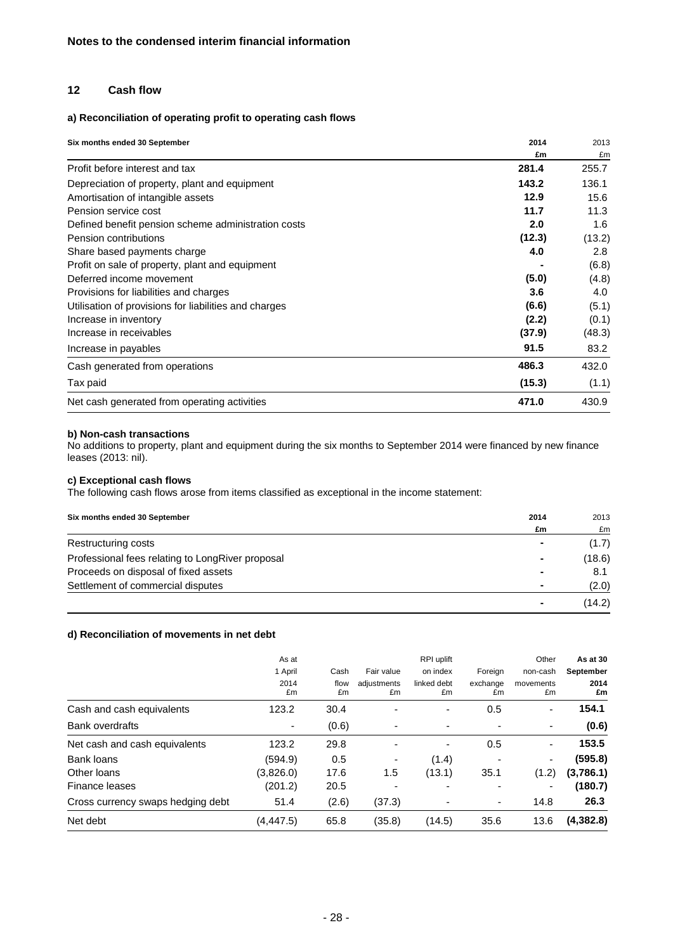### **12 Cash flow**

### **a) Reconciliation of operating profit to operating cash flows**

| Six months ended 30 September                         | 2014   | 2013   |  |
|-------------------------------------------------------|--------|--------|--|
|                                                       | £m     | £m     |  |
| Profit before interest and tax                        | 281.4  | 255.7  |  |
| Depreciation of property, plant and equipment         | 143.2  | 136.1  |  |
| Amortisation of intangible assets                     | 12.9   | 15.6   |  |
| Pension service cost                                  | 11.7   | 11.3   |  |
| Defined benefit pension scheme administration costs   | 2.0    | 1.6    |  |
| Pension contributions                                 | (12.3) | (13.2) |  |
| Share based payments charge                           | 4.0    | 2.8    |  |
| Profit on sale of property, plant and equipment       |        | (6.8)  |  |
| Deferred income movement                              | (5.0)  | (4.8)  |  |
| Provisions for liabilities and charges                | 3.6    | 4.0    |  |
| Utilisation of provisions for liabilities and charges | (6.6)  | (5.1)  |  |
| Increase in inventory                                 | (2.2)  | (0.1)  |  |
| Increase in receivables                               | (37.9) | (48.3) |  |
| Increase in payables                                  | 91.5   | 83.2   |  |
| Cash generated from operations                        | 486.3  | 432.0  |  |
| Tax paid                                              | (15.3) | (1.1)  |  |
| Net cash generated from operating activities          | 471.0  | 430.9  |  |

#### **b) Non-cash transactions**

No additions to property, plant and equipment during the six months to September 2014 were financed by new finance leases (2013: nil).

### **c) Exceptional cash flows**

The following cash flows arose from items classified as exceptional in the income statement:

| Six months ended 30 September                    | 2014 | 2013   |
|--------------------------------------------------|------|--------|
|                                                  | £m   | £m     |
| Restructuring costs                              |      | (1.7)  |
| Professional fees relating to LongRiver proposal | ۰    | (18.6) |
| Proceeds on disposal of fixed assets             |      | 8.1    |
| Settlement of commercial disputes                |      | (2.0)  |
|                                                  | ۰    | (14.2) |

#### **d) Reconciliation of movements in net debt**

|                                   | As at<br>1 April<br>2014<br>£m | Cash<br>flow | Fair value<br>adjustments | RPI uplift<br>on index<br>linked debt | Foreign<br>exchange          | Other<br>non-cash<br>movements | As at 30<br>September<br>2014 |
|-----------------------------------|--------------------------------|--------------|---------------------------|---------------------------------------|------------------------------|--------------------------------|-------------------------------|
|                                   |                                | £m           | £m                        | £m                                    | £m                           | £m                             | £m                            |
| Cash and cash equivalents         | 123.2                          | 30.4         |                           | -                                     | 0.5                          | ٠                              | 154.1                         |
| <b>Bank overdrafts</b>            |                                | (0.6)        | ٠                         | ٠                                     |                              | ٠                              | (0.6)                         |
| Net cash and cash equivalents     | 123.2                          | 29.8         | $\blacksquare$            | $\overline{\phantom{a}}$              | 0.5                          | $\overline{\phantom{a}}$       | 153.5                         |
| Bank loans                        | (594.9)                        | 0.5          | $\overline{a}$            | (1.4)                                 |                              | ٠                              | (595.8)                       |
| Other loans                       | (3,826.0)                      | 17.6         | 1.5                       | (13.1)                                | 35.1                         | (1.2)                          | (3,786.1)                     |
| Finance leases                    | (201.2)                        | 20.5         | -                         | ٠                                     |                              | $\overline{\phantom{a}}$       | (180.7)                       |
| Cross currency swaps hedging debt | 51.4                           | (2.6)        | (37.3)                    | ٠                                     | $\qquad \qquad \blacksquare$ | 14.8                           | 26.3                          |
| Net debt                          | (4, 447.5)                     | 65.8         | (35.8)                    | (14.5)                                | 35.6                         | 13.6                           | (4,382.8)                     |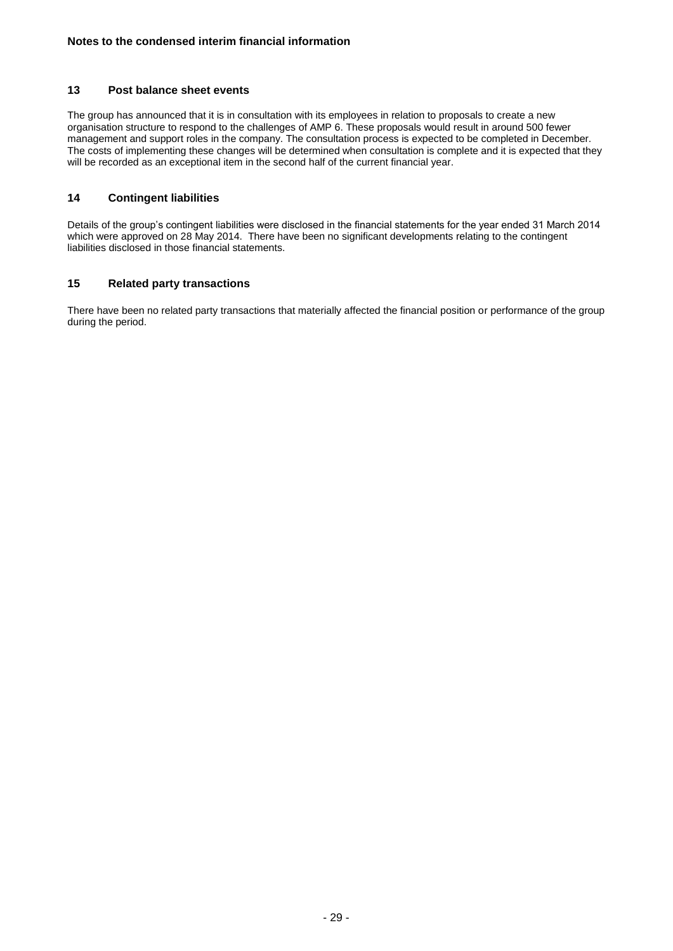#### **13 Post balance sheet events**

The group has announced that it is in consultation with its employees in relation to proposals to create a new organisation structure to respond to the challenges of AMP 6. These proposals would result in around 500 fewer management and support roles in the company. The consultation process is expected to be completed in December. The costs of implementing these changes will be determined when consultation is complete and it is expected that they will be recorded as an exceptional item in the second half of the current financial year.

#### **14 Contingent liabilities**

Details of the group's contingent liabilities were disclosed in the financial statements for the year ended 31 March 2014 which were approved on 28 May 2014. There have been no significant developments relating to the contingent liabilities disclosed in those financial statements.

#### **15 Related party transactions**

There have been no related party transactions that materially affected the financial position or performance of the group during the period.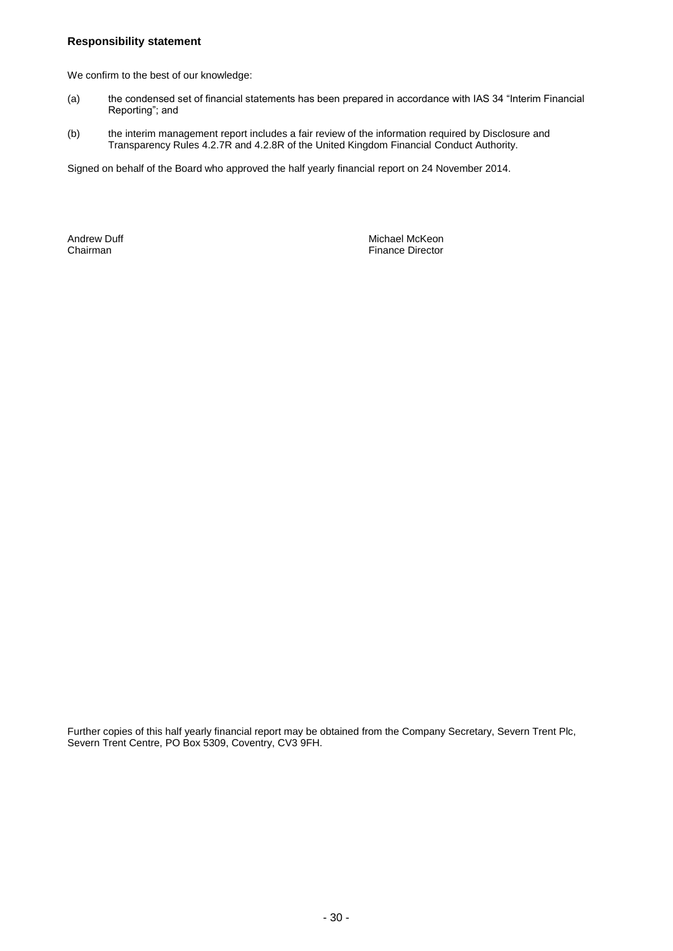#### **Responsibility statement**

We confirm to the best of our knowledge:

- (a) the condensed set of financial statements has been prepared in accordance with IAS 34 "Interim Financial Reporting"; and
- (b) the interim management report includes a fair review of the information required by Disclosure and Transparency Rules 4.2.7R and 4.2.8R of the United Kingdom Financial Conduct Authority.

Signed on behalf of the Board who approved the half yearly financial report on 24 November 2014.

Andrew Duff Michael McKeon Chairman Finance Director

Further copies of this half yearly financial report may be obtained from the Company Secretary, Severn Trent Plc, Severn Trent Centre, PO Box 5309, Coventry, CV3 9FH.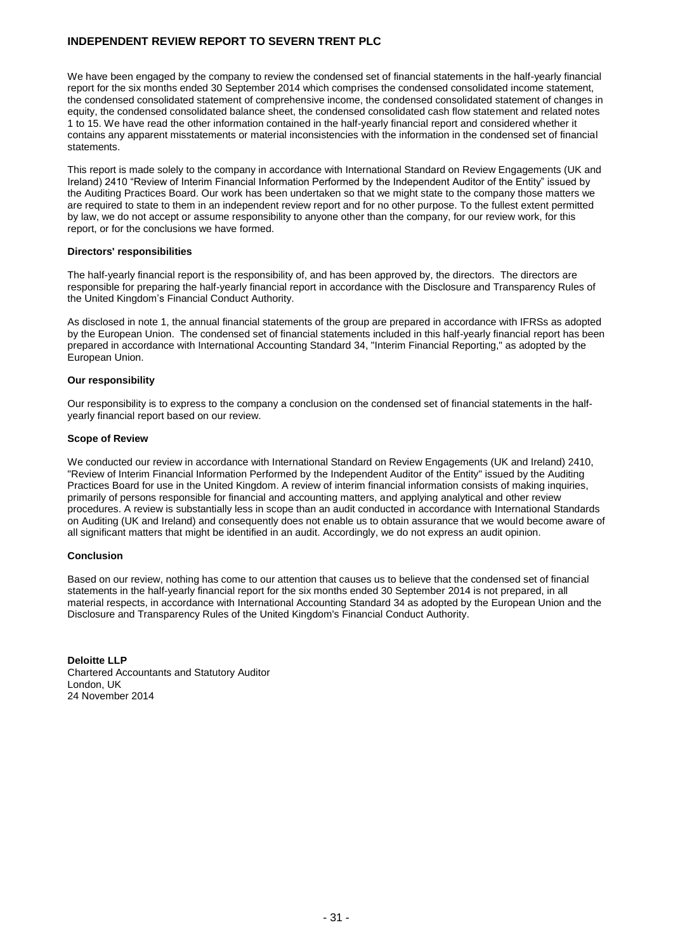### **INDEPENDENT REVIEW REPORT TO SEVERN TRENT PLC**

We have been engaged by the company to review the condensed set of financial statements in the half-yearly financial report for the six months ended 30 September 2014 which comprises the condensed consolidated income statement, the condensed consolidated statement of comprehensive income, the condensed consolidated statement of changes in equity, the condensed consolidated balance sheet, the condensed consolidated cash flow statement and related notes 1 to 15. We have read the other information contained in the half-yearly financial report and considered whether it contains any apparent misstatements or material inconsistencies with the information in the condensed set of financial statements.

This report is made solely to the company in accordance with International Standard on Review Engagements (UK and Ireland) 2410 "Review of Interim Financial Information Performed by the Independent Auditor of the Entity" issued by the Auditing Practices Board. Our work has been undertaken so that we might state to the company those matters we are required to state to them in an independent review report and for no other purpose. To the fullest extent permitted by law, we do not accept or assume responsibility to anyone other than the company, for our review work, for this report, or for the conclusions we have formed.

#### **Directors' responsibilities**

The half-yearly financial report is the responsibility of, and has been approved by, the directors. The directors are responsible for preparing the half-yearly financial report in accordance with the Disclosure and Transparency Rules of the United Kingdom's Financial Conduct Authority.

As disclosed in note 1, the annual financial statements of the group are prepared in accordance with IFRSs as adopted by the European Union. The condensed set of financial statements included in this half-yearly financial report has been prepared in accordance with International Accounting Standard 34, "Interim Financial Reporting," as adopted by the European Union.

#### **Our responsibility**

Our responsibility is to express to the company a conclusion on the condensed set of financial statements in the halfyearly financial report based on our review.

#### **Scope of Review**

We conducted our review in accordance with International Standard on Review Engagements (UK and Ireland) 2410, "Review of Interim Financial Information Performed by the Independent Auditor of the Entity" issued by the Auditing Practices Board for use in the United Kingdom. A review of interim financial information consists of making inquiries, primarily of persons responsible for financial and accounting matters, and applying analytical and other review procedures. A review is substantially less in scope than an audit conducted in accordance with International Standards on Auditing (UK and Ireland) and consequently does not enable us to obtain assurance that we would become aware of all significant matters that might be identified in an audit. Accordingly, we do not express an audit opinion.

#### **Conclusion**

Based on our review, nothing has come to our attention that causes us to believe that the condensed set of financial statements in the half-yearly financial report for the six months ended 30 September 2014 is not prepared, in all material respects, in accordance with International Accounting Standard 34 as adopted by the European Union and the Disclosure and Transparency Rules of the United Kingdom's Financial Conduct Authority.

**Deloitte LLP** Chartered Accountants and Statutory Auditor London, UK 24 November 2014